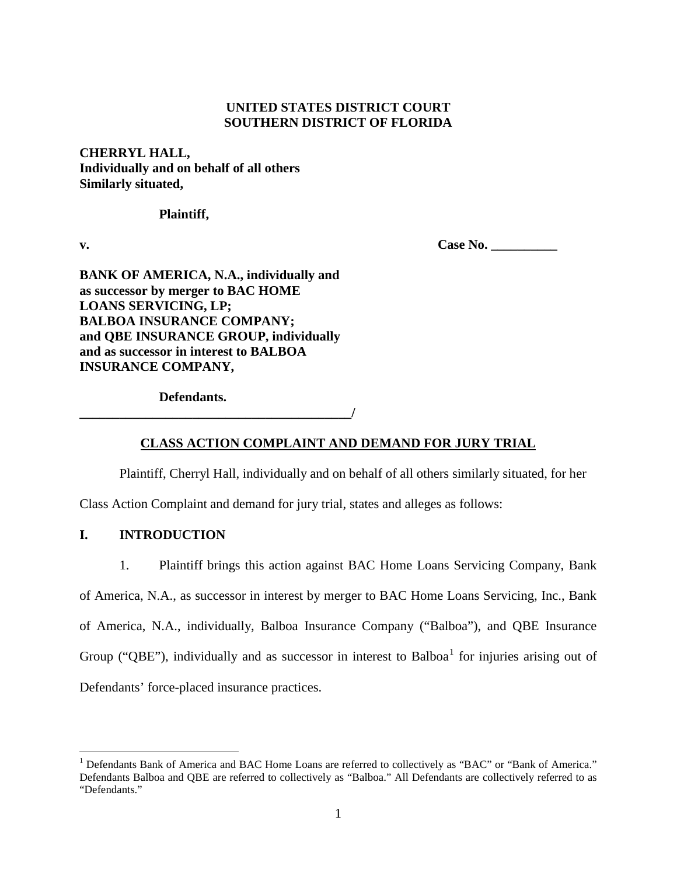## **UNITED STATES DISTRICT COURT SOUTHERN DISTRICT OF FLORIDA**

**CHERRYL HALL, Individually and on behalf of all others Similarly situated,**

**Plaintiff,**

**v. Case No. Case No.** 

**BANK OF AMERICA, N.A., individually and as successor by merger to BAC HOME LOANS SERVICING, LP; BALBOA INSURANCE COMPANY; and QBE INSURANCE GROUP, individually and as successor in interest to BALBOA INSURANCE COMPANY,**

**Defendants.**

 $\overline{\phantom{a}}$ 

## **CLASS ACTION COMPLAINT AND DEMAND FOR JURY TRIAL**

Plaintiff, Cherryl Hall, individually and on behalf of all others similarly situated, for her

Class Action Complaint and demand for jury trial, states and alleges as follows:

# **I. INTRODUCTION**

1. Plaintiff brings this action against BAC Home Loans Servicing Company, Bank

of America, N.A., as successor in interest by merger to BAC Home Loans Servicing, Inc., Bank

of America, N.A., individually, Balboa Insurance Company ("Balboa"), and QBE Insurance

Group ("QBE"), individually and as successor in interest to Balboa<sup>1</sup> for injuries arising out of

Defendants' force-placed insurance practices.

<sup>&</sup>lt;sup>1</sup> Defendants Bank of America and BAC Home Loans are referred to collectively as "BAC" or "Bank of America." Defendants Balboa and QBE are referred to collectively as "Balboa." All Defendants are collectively referred to as "Defendants."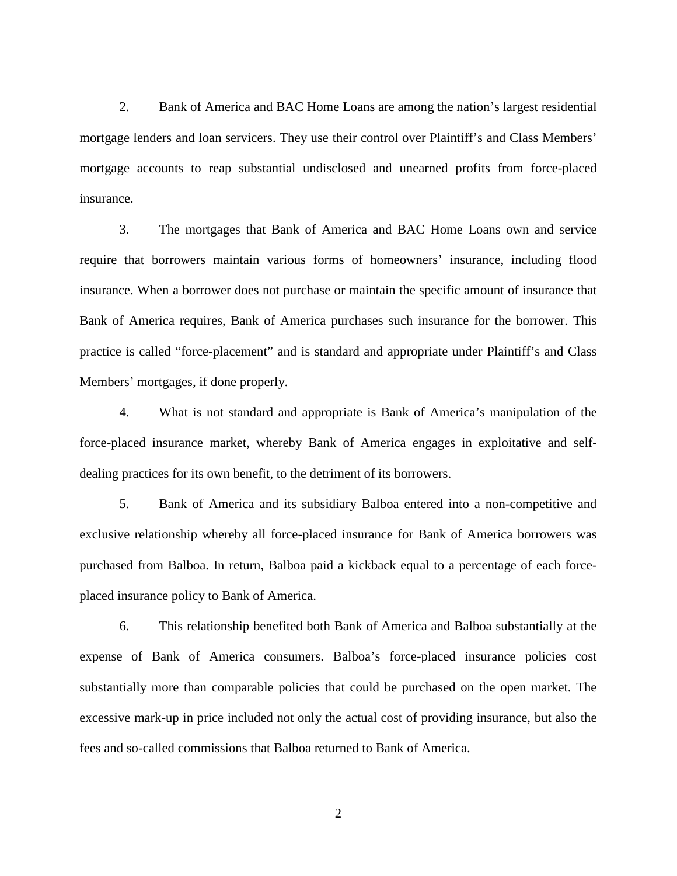2. Bank of America and BAC Home Loans are among the nation's largest residential mortgage lenders and loan servicers. They use their control over Plaintiff's and Class Members' mortgage accounts to reap substantial undisclosed and unearned profits from force-placed insurance.

3. The mortgages that Bank of America and BAC Home Loans own and service require that borrowers maintain various forms of homeowners' insurance, including flood insurance. When a borrower does not purchase or maintain the specific amount of insurance that Bank of America requires, Bank of America purchases such insurance for the borrower. This practice is called "force-placement" and is standard and appropriate under Plaintiff's and Class Members' mortgages, if done properly.

4. What is not standard and appropriate is Bank of America's manipulation of the force-placed insurance market, whereby Bank of America engages in exploitative and selfdealing practices for its own benefit, to the detriment of its borrowers.

5. Bank of America and its subsidiary Balboa entered into a non-competitive and exclusive relationship whereby all force-placed insurance for Bank of America borrowers was purchased from Balboa. In return, Balboa paid a kickback equal to a percentage of each forceplaced insurance policy to Bank of America.

6. This relationship benefited both Bank of America and Balboa substantially at the expense of Bank of America consumers. Balboa's force-placed insurance policies cost substantially more than comparable policies that could be purchased on the open market. The excessive mark-up in price included not only the actual cost of providing insurance, but also the fees and so-called commissions that Balboa returned to Bank of America.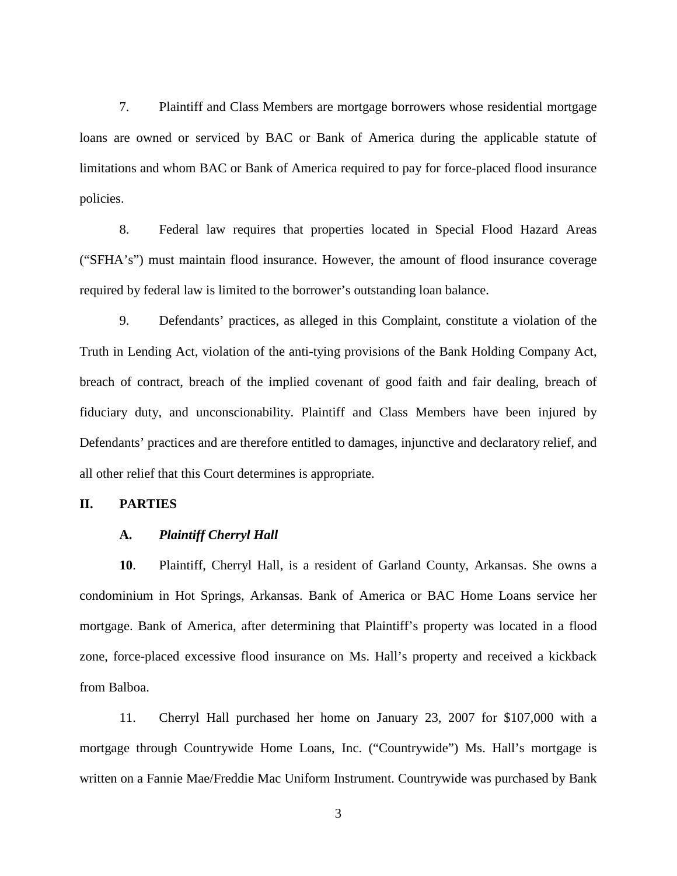7. Plaintiff and Class Members are mortgage borrowers whose residential mortgage loans are owned or serviced by BAC or Bank of America during the applicable statute of limitations and whom BAC or Bank of America required to pay for force-placed flood insurance policies.

8. Federal law requires that properties located in Special Flood Hazard Areas ("SFHA's") must maintain flood insurance. However, the amount of flood insurance coverage required by federal law is limited to the borrower's outstanding loan balance.

9. Defendants' practices, as alleged in this Complaint, constitute a violation of the Truth in Lending Act, violation of the anti-tying provisions of the Bank Holding Company Act, breach of contract, breach of the implied covenant of good faith and fair dealing, breach of fiduciary duty, and unconscionability. Plaintiff and Class Members have been injured by Defendants' practices and are therefore entitled to damages, injunctive and declaratory relief, and all other relief that this Court determines is appropriate.

## **II. PARTIES**

## **A.** *Plaintiff Cherryl Hall*

**10**. Plaintiff, Cherryl Hall, is a resident of Garland County, Arkansas. She owns a condominium in Hot Springs, Arkansas. Bank of America or BAC Home Loans service her mortgage. Bank of America, after determining that Plaintiff's property was located in a flood zone, force-placed excessive flood insurance on Ms. Hall's property and received a kickback from Balboa.

11. Cherryl Hall purchased her home on January 23, 2007 for \$107,000 with a mortgage through Countrywide Home Loans, Inc. ("Countrywide") Ms. Hall's mortgage is written on a Fannie Mae/Freddie Mac Uniform Instrument. Countrywide was purchased by Bank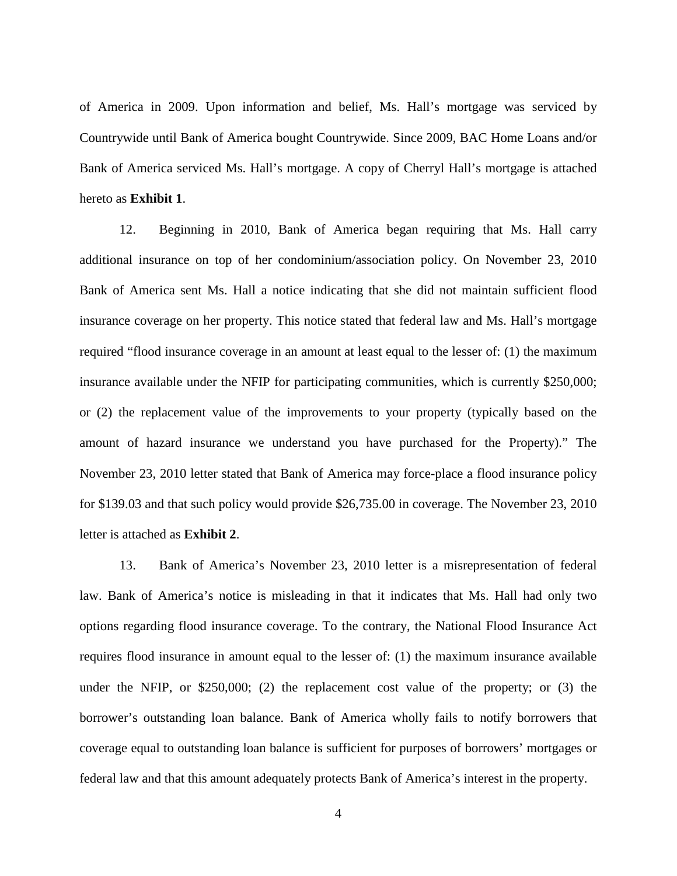of America in 2009. Upon information and belief, Ms. Hall's mortgage was serviced by Countrywide until Bank of America bought Countrywide. Since 2009, BAC Home Loans and/or Bank of America serviced Ms. Hall's mortgage. A copy of Cherryl Hall's mortgage is attached hereto as **Exhibit 1**.

12. Beginning in 2010, Bank of America began requiring that Ms. Hall carry additional insurance on top of her condominium/association policy. On November 23, 2010 Bank of America sent Ms. Hall a notice indicating that she did not maintain sufficient flood insurance coverage on her property. This notice stated that federal law and Ms. Hall's mortgage required "flood insurance coverage in an amount at least equal to the lesser of: (1) the maximum insurance available under the NFIP for participating communities, which is currently \$250,000; or (2) the replacement value of the improvements to your property (typically based on the amount of hazard insurance we understand you have purchased for the Property)." The November 23, 2010 letter stated that Bank of America may force-place a flood insurance policy for \$139.03 and that such policy would provide \$26,735.00 in coverage. The November 23, 2010 letter is attached as **Exhibit 2**.

13. Bank of America's November 23, 2010 letter is a misrepresentation of federal law. Bank of America's notice is misleading in that it indicates that Ms. Hall had only two options regarding flood insurance coverage. To the contrary, the National Flood Insurance Act requires flood insurance in amount equal to the lesser of: (1) the maximum insurance available under the NFIP, or \$250,000; (2) the replacement cost value of the property; or (3) the borrower's outstanding loan balance. Bank of America wholly fails to notify borrowers that coverage equal to outstanding loan balance is sufficient for purposes of borrowers' mortgages or federal law and that this amount adequately protects Bank of America's interest in the property.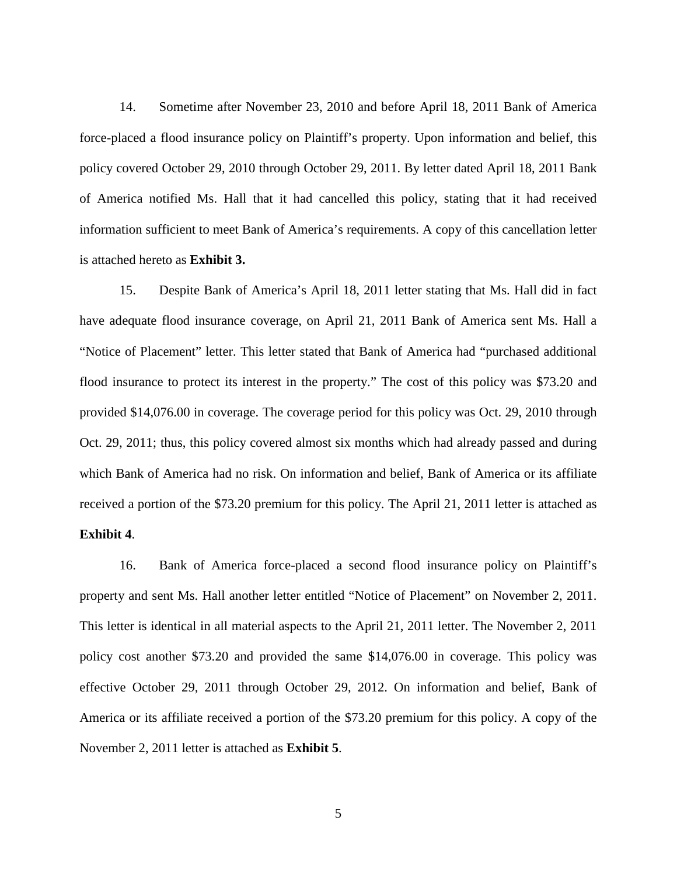14. Sometime after November 23, 2010 and before April 18, 2011 Bank of America force-placed a flood insurance policy on Plaintiff's property. Upon information and belief, this policy covered October 29, 2010 through October 29, 2011. By letter dated April 18, 2011 Bank of America notified Ms. Hall that it had cancelled this policy, stating that it had received information sufficient to meet Bank of America's requirements. A copy of this cancellation letter is attached hereto as **Exhibit 3.**

15. Despite Bank of America's April 18, 2011 letter stating that Ms. Hall did in fact have adequate flood insurance coverage, on April 21, 2011 Bank of America sent Ms. Hall a "Notice of Placement" letter. This letter stated that Bank of America had "purchased additional flood insurance to protect its interest in the property." The cost of this policy was \$73.20 and provided \$14,076.00 in coverage. The coverage period for this policy was Oct. 29, 2010 through Oct. 29, 2011; thus, this policy covered almost six months which had already passed and during which Bank of America had no risk. On information and belief, Bank of America or its affiliate received a portion of the \$73.20 premium for this policy. The April 21, 2011 letter is attached as

### **Exhibit 4**.

16. Bank of America force-placed a second flood insurance policy on Plaintiff's property and sent Ms. Hall another letter entitled "Notice of Placement" on November 2, 2011. This letter is identical in all material aspects to the April 21, 2011 letter. The November 2, 2011 policy cost another \$73.20 and provided the same \$14,076.00 in coverage. This policy was effective October 29, 2011 through October 29, 2012. On information and belief, Bank of America or its affiliate received a portion of the \$73.20 premium for this policy. A copy of the November 2, 2011 letter is attached as **Exhibit 5**.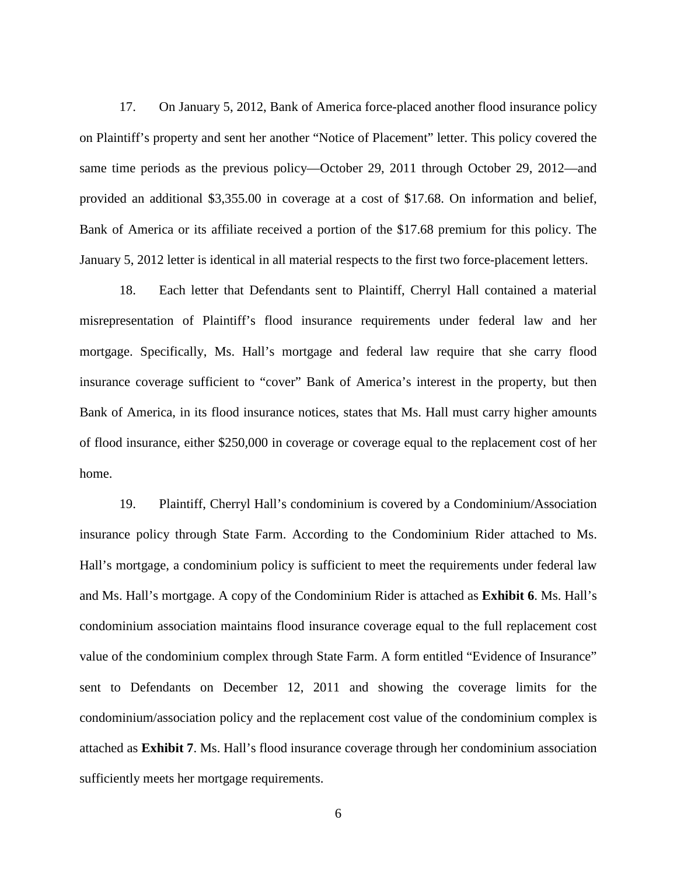17. On January 5, 2012, Bank of America force-placed another flood insurance policy on Plaintiff's property and sent her another "Notice of Placement" letter. This policy covered the same time periods as the previous policy—October 29, 2011 through October 29, 2012—and provided an additional \$3,355.00 in coverage at a cost of \$17.68. On information and belief, Bank of America or its affiliate received a portion of the \$17.68 premium for this policy. The January 5, 2012 letter is identical in all material respects to the first two force-placement letters.

18. Each letter that Defendants sent to Plaintiff, Cherryl Hall contained a material misrepresentation of Plaintiff's flood insurance requirements under federal law and her mortgage. Specifically, Ms. Hall's mortgage and federal law require that she carry flood insurance coverage sufficient to "cover" Bank of America's interest in the property, but then Bank of America, in its flood insurance notices, states that Ms. Hall must carry higher amounts of flood insurance, either \$250,000 in coverage or coverage equal to the replacement cost of her home.

19. Plaintiff, Cherryl Hall's condominium is covered by a Condominium/Association insurance policy through State Farm. According to the Condominium Rider attached to Ms. Hall's mortgage, a condominium policy is sufficient to meet the requirements under federal law and Ms. Hall's mortgage. A copy of the Condominium Rider is attached as **Exhibit 6**. Ms. Hall's condominium association maintains flood insurance coverage equal to the full replacement cost value of the condominium complex through State Farm. A form entitled "Evidence of Insurance" sent to Defendants on December 12, 2011 and showing the coverage limits for the condominium/association policy and the replacement cost value of the condominium complex is attached as **Exhibit 7**. Ms. Hall's flood insurance coverage through her condominium association sufficiently meets her mortgage requirements.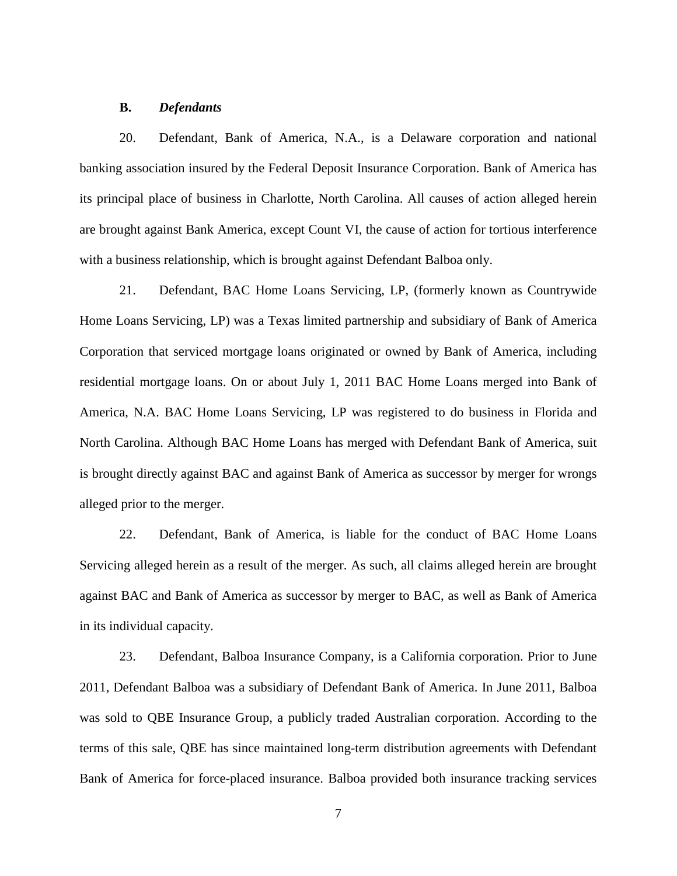### **B.** *Defendants*

20. Defendant, Bank of America, N.A., is a Delaware corporation and national banking association insured by the Federal Deposit Insurance Corporation. Bank of America has its principal place of business in Charlotte, North Carolina. All causes of action alleged herein are brought against Bank America, except Count VI, the cause of action for tortious interference with a business relationship, which is brought against Defendant Balboa only.

21. Defendant, BAC Home Loans Servicing, LP, (formerly known as Countrywide Home Loans Servicing, LP) was a Texas limited partnership and subsidiary of Bank of America Corporation that serviced mortgage loans originated or owned by Bank of America, including residential mortgage loans. On or about July 1, 2011 BAC Home Loans merged into Bank of America, N.A. BAC Home Loans Servicing, LP was registered to do business in Florida and North Carolina. Although BAC Home Loans has merged with Defendant Bank of America, suit is brought directly against BAC and against Bank of America as successor by merger for wrongs alleged prior to the merger.

22. Defendant, Bank of America, is liable for the conduct of BAC Home Loans Servicing alleged herein as a result of the merger. As such, all claims alleged herein are brought against BAC and Bank of America as successor by merger to BAC, as well as Bank of America in its individual capacity.

23. Defendant, Balboa Insurance Company, is a California corporation. Prior to June 2011, Defendant Balboa was a subsidiary of Defendant Bank of America. In June 2011, Balboa was sold to QBE Insurance Group, a publicly traded Australian corporation. According to the terms of this sale, QBE has since maintained long-term distribution agreements with Defendant Bank of America for force-placed insurance. Balboa provided both insurance tracking services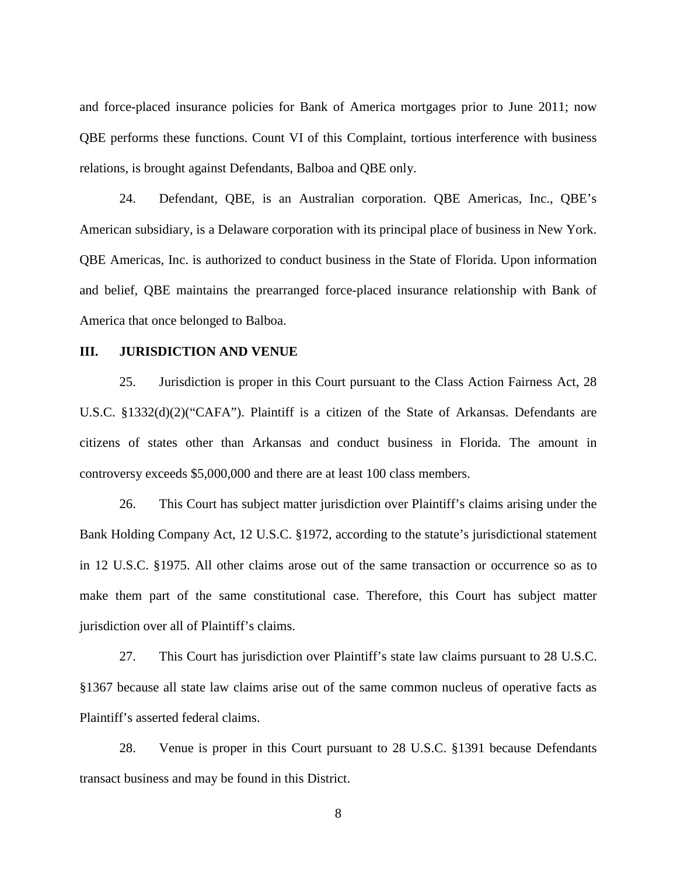and force-placed insurance policies for Bank of America mortgages prior to June 2011; now QBE performs these functions. Count VI of this Complaint, tortious interference with business relations, is brought against Defendants, Balboa and QBE only.

24. Defendant, QBE, is an Australian corporation. QBE Americas, Inc., QBE's American subsidiary, is a Delaware corporation with its principal place of business in New York. QBE Americas, Inc. is authorized to conduct business in the State of Florida. Upon information and belief, QBE maintains the prearranged force-placed insurance relationship with Bank of America that once belonged to Balboa.

### **III. JURISDICTION AND VENUE**

25. Jurisdiction is proper in this Court pursuant to the Class Action Fairness Act, 28 U.S.C. §1332(d)(2)("CAFA"). Plaintiff is a citizen of the State of Arkansas. Defendants are citizens of states other than Arkansas and conduct business in Florida. The amount in controversy exceeds \$5,000,000 and there are at least 100 class members.

26. This Court has subject matter jurisdiction over Plaintiff's claims arising under the Bank Holding Company Act, 12 U.S.C. §1972, according to the statute's jurisdictional statement in 12 U.S.C. §1975. All other claims arose out of the same transaction or occurrence so as to make them part of the same constitutional case. Therefore, this Court has subject matter jurisdiction over all of Plaintiff's claims.

27. This Court has jurisdiction over Plaintiff's state law claims pursuant to 28 U.S.C. §1367 because all state law claims arise out of the same common nucleus of operative facts as Plaintiff's asserted federal claims.

28. Venue is proper in this Court pursuant to 28 U.S.C. §1391 because Defendants transact business and may be found in this District.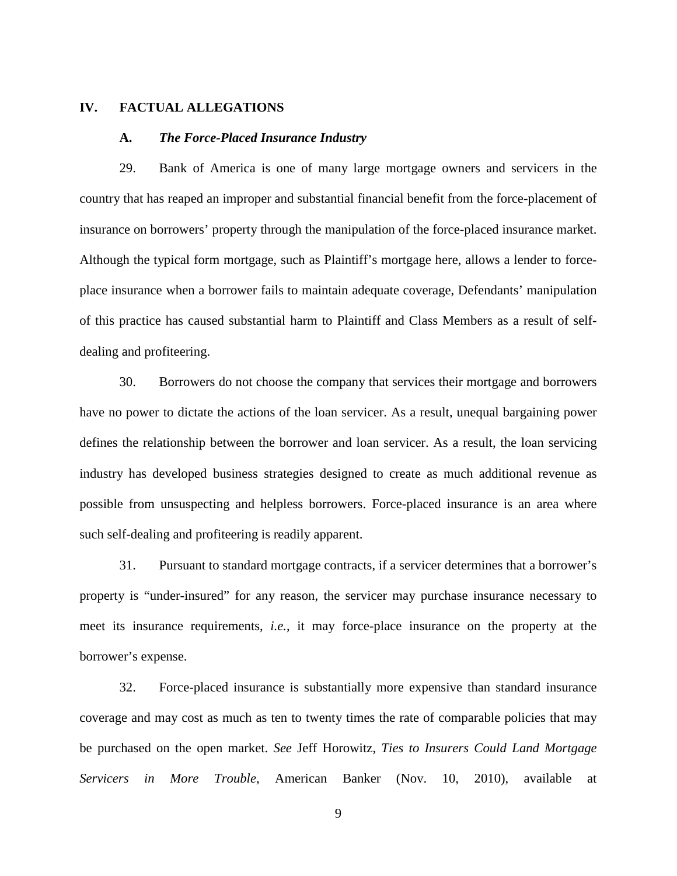### **IV. FACTUAL ALLEGATIONS**

### **A.** *The Force-Placed Insurance Industry*

29. Bank of America is one of many large mortgage owners and servicers in the country that has reaped an improper and substantial financial benefit from the force-placement of insurance on borrowers' property through the manipulation of the force-placed insurance market. Although the typical form mortgage, such as Plaintiff's mortgage here, allows a lender to forceplace insurance when a borrower fails to maintain adequate coverage, Defendants' manipulation of this practice has caused substantial harm to Plaintiff and Class Members as a result of selfdealing and profiteering.

30. Borrowers do not choose the company that services their mortgage and borrowers have no power to dictate the actions of the loan servicer. As a result, unequal bargaining power defines the relationship between the borrower and loan servicer. As a result, the loan servicing industry has developed business strategies designed to create as much additional revenue as possible from unsuspecting and helpless borrowers. Force-placed insurance is an area where such self-dealing and profiteering is readily apparent.

31. Pursuant to standard mortgage contracts, if a servicer determines that a borrower's property is "under-insured" for any reason, the servicer may purchase insurance necessary to meet its insurance requirements, *i.e.*, it may force-place insurance on the property at the borrower's expense.

32. Force-placed insurance is substantially more expensive than standard insurance coverage and may cost as much as ten to twenty times the rate of comparable policies that may be purchased on the open market. *See* Jeff Horowitz, *Ties to Insurers Could Land Mortgage Servicers in More Trouble*, American Banker (Nov. 10, 2010), available at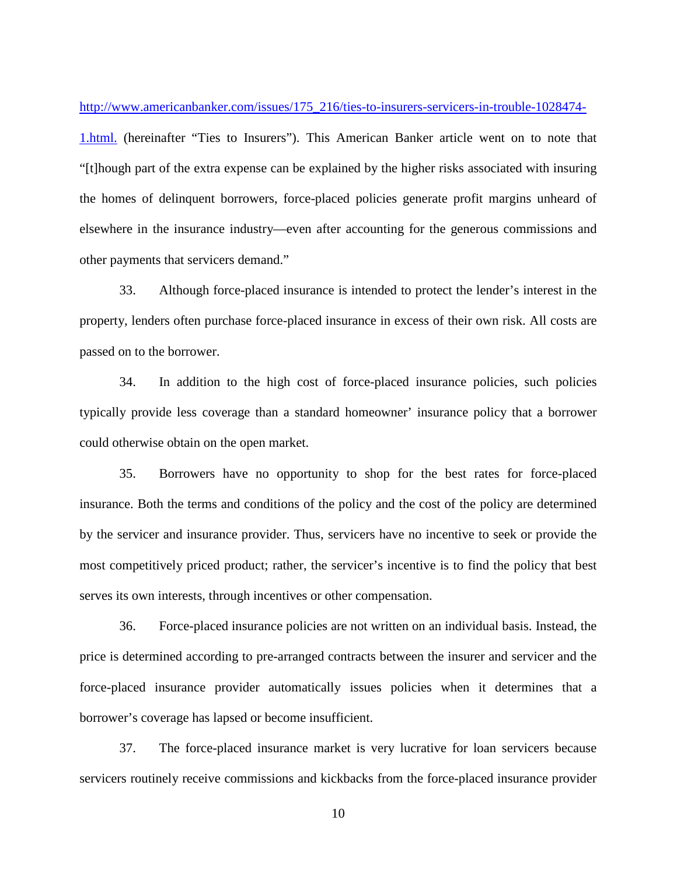http://www.americanbanker.com/issues/175\_216/ties-to-insurers-servicers-in-trouble-1028474-

1.html. (hereinafter "Ties to Insurers"). This American Banker article went on to note that "[t]hough part of the extra expense can be explained by the higher risks associated with insuring the homes of delinquent borrowers, force-placed policies generate profit margins unheard of elsewhere in the insurance industry—even after accounting for the generous commissions and other payments that servicers demand."

33. Although force-placed insurance is intended to protect the lender's interest in the property, lenders often purchase force-placed insurance in excess of their own risk. All costs are passed on to the borrower.

34. In addition to the high cost of force-placed insurance policies, such policies typically provide less coverage than a standard homeowner' insurance policy that a borrower could otherwise obtain on the open market.

35. Borrowers have no opportunity to shop for the best rates for force-placed insurance. Both the terms and conditions of the policy and the cost of the policy are determined by the servicer and insurance provider. Thus, servicers have no incentive to seek or provide the most competitively priced product; rather, the servicer's incentive is to find the policy that best serves its own interests, through incentives or other compensation.

36. Force-placed insurance policies are not written on an individual basis. Instead, the price is determined according to pre-arranged contracts between the insurer and servicer and the force-placed insurance provider automatically issues policies when it determines that a borrower's coverage has lapsed or become insufficient.

37. The force-placed insurance market is very lucrative for loan servicers because servicers routinely receive commissions and kickbacks from the force-placed insurance provider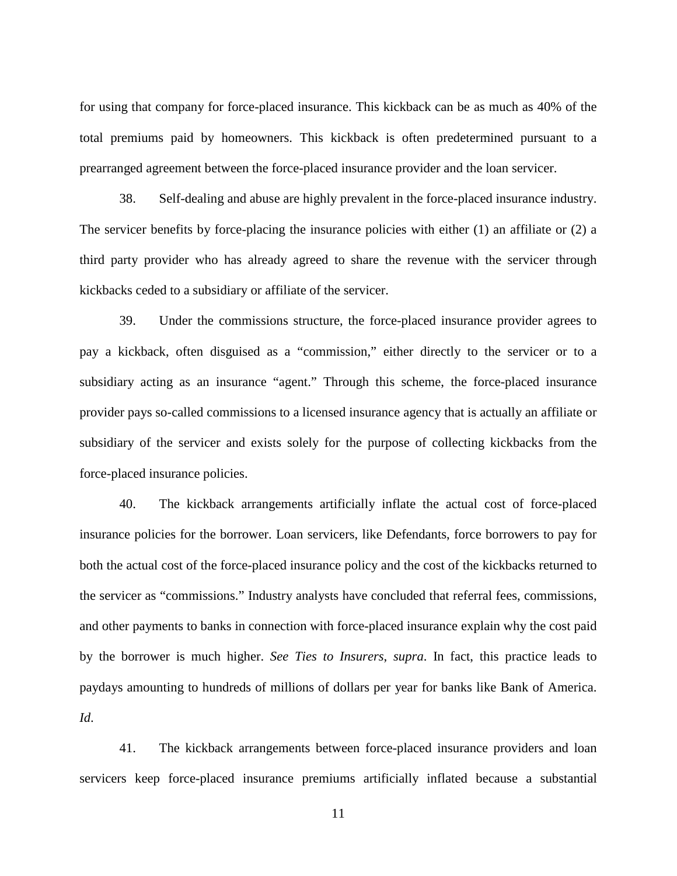for using that company for force-placed insurance. This kickback can be as much as 40% of the total premiums paid by homeowners. This kickback is often predetermined pursuant to a prearranged agreement between the force-placed insurance provider and the loan servicer.

38. Self-dealing and abuse are highly prevalent in the force-placed insurance industry. The servicer benefits by force-placing the insurance policies with either  $(1)$  an affiliate or  $(2)$  a third party provider who has already agreed to share the revenue with the servicer through kickbacks ceded to a subsidiary or affiliate of the servicer.

39. Under the commissions structure, the force-placed insurance provider agrees to pay a kickback, often disguised as a "commission," either directly to the servicer or to a subsidiary acting as an insurance "agent." Through this scheme, the force-placed insurance provider pays so-called commissions to a licensed insurance agency that is actually an affiliate or subsidiary of the servicer and exists solely for the purpose of collecting kickbacks from the force-placed insurance policies.

40. The kickback arrangements artificially inflate the actual cost of force-placed insurance policies for the borrower. Loan servicers, like Defendants, force borrowers to pay for both the actual cost of the force-placed insurance policy and the cost of the kickbacks returned to the servicer as "commissions." Industry analysts have concluded that referral fees, commissions, and other payments to banks in connection with force-placed insurance explain why the cost paid by the borrower is much higher. *See Ties to Insurers*, *supra*. In fact, this practice leads to paydays amounting to hundreds of millions of dollars per year for banks like Bank of America. *Id*.

41. The kickback arrangements between force-placed insurance providers and loan servicers keep force-placed insurance premiums artificially inflated because a substantial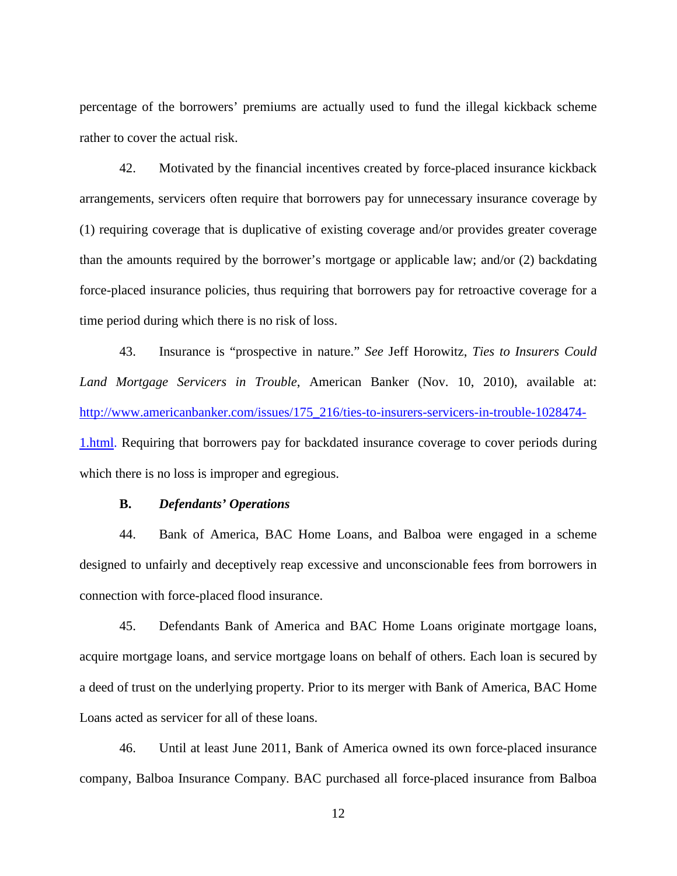percentage of the borrowers' premiums are actually used to fund the illegal kickback scheme rather to cover the actual risk.

42. Motivated by the financial incentives created by force-placed insurance kickback arrangements, servicers often require that borrowers pay for unnecessary insurance coverage by (1) requiring coverage that is duplicative of existing coverage and/or provides greater coverage than the amounts required by the borrower's mortgage or applicable law; and/or (2) backdating force-placed insurance policies, thus requiring that borrowers pay for retroactive coverage for a time period during which there is no risk of loss.

43. Insurance is "prospective in nature." *See* Jeff Horowitz, *Ties to Insurers Could Land Mortgage Servicers in Trouble*, American Banker (Nov. 10, 2010), available at: http://www.americanbanker.com/issues/175\_216/ties-to-insurers-servicers-in-trouble-1028474- 1.html. Requiring that borrowers pay for backdated insurance coverage to cover periods during which there is no loss is improper and egregious.

## **B.** *Defendants' Operations*

44. Bank of America, BAC Home Loans, and Balboa were engaged in a scheme designed to unfairly and deceptively reap excessive and unconscionable fees from borrowers in connection with force-placed flood insurance.

45. Defendants Bank of America and BAC Home Loans originate mortgage loans, acquire mortgage loans, and service mortgage loans on behalf of others. Each loan is secured by a deed of trust on the underlying property. Prior to its merger with Bank of America, BAC Home Loans acted as servicer for all of these loans.

46. Until at least June 2011, Bank of America owned its own force-placed insurance company, Balboa Insurance Company. BAC purchased all force-placed insurance from Balboa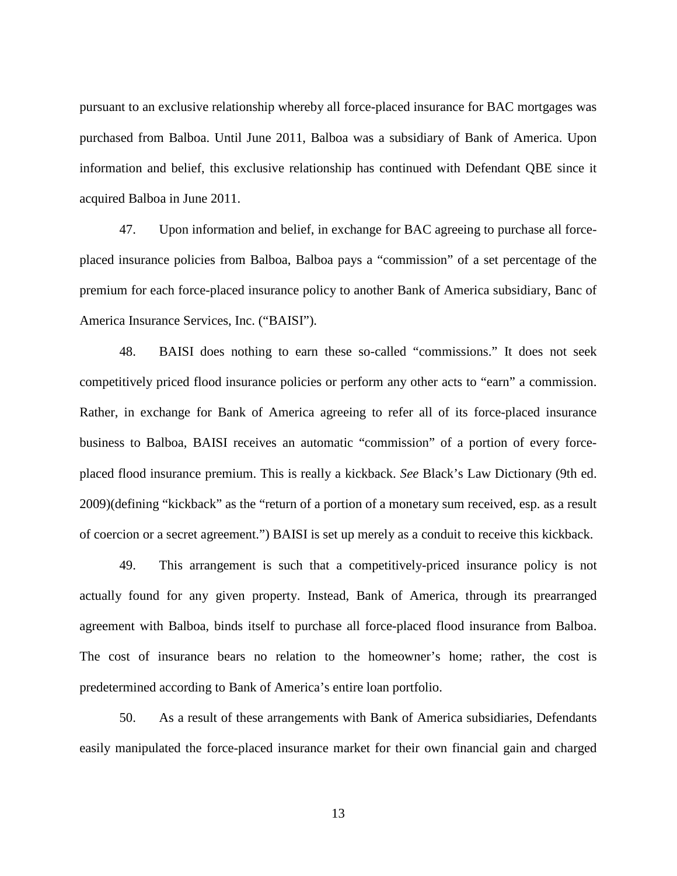pursuant to an exclusive relationship whereby all force-placed insurance for BAC mortgages was purchased from Balboa. Until June 2011, Balboa was a subsidiary of Bank of America. Upon information and belief, this exclusive relationship has continued with Defendant QBE since it acquired Balboa in June 2011.

47. Upon information and belief, in exchange for BAC agreeing to purchase all forceplaced insurance policies from Balboa, Balboa pays a "commission" of a set percentage of the premium for each force-placed insurance policy to another Bank of America subsidiary, Banc of America Insurance Services, Inc. ("BAISI").

48. BAISI does nothing to earn these so-called "commissions." It does not seek competitively priced flood insurance policies or perform any other acts to "earn" a commission. Rather, in exchange for Bank of America agreeing to refer all of its force-placed insurance business to Balboa, BAISI receives an automatic "commission" of a portion of every forceplaced flood insurance premium. This is really a kickback. *See* Black's Law Dictionary (9th ed. 2009)(defining "kickback" as the "return of a portion of a monetary sum received, esp. as a result of coercion or a secret agreement.") BAISI is set up merely as a conduit to receive this kickback.

49. This arrangement is such that a competitively-priced insurance policy is not actually found for any given property. Instead, Bank of America, through its prearranged agreement with Balboa, binds itself to purchase all force-placed flood insurance from Balboa. The cost of insurance bears no relation to the homeowner's home; rather, the cost is predetermined according to Bank of America's entire loan portfolio.

50. As a result of these arrangements with Bank of America subsidiaries, Defendants easily manipulated the force-placed insurance market for their own financial gain and charged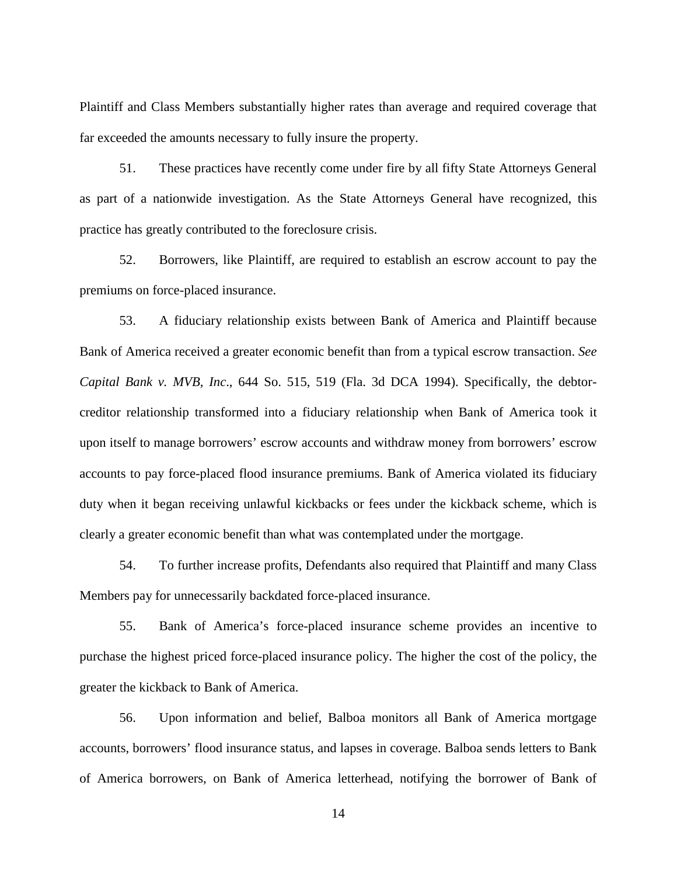Plaintiff and Class Members substantially higher rates than average and required coverage that far exceeded the amounts necessary to fully insure the property.

51. These practices have recently come under fire by all fifty State Attorneys General as part of a nationwide investigation. As the State Attorneys General have recognized, this practice has greatly contributed to the foreclosure crisis.

52. Borrowers, like Plaintiff, are required to establish an escrow account to pay the premiums on force-placed insurance.

53. A fiduciary relationship exists between Bank of America and Plaintiff because Bank of America received a greater economic benefit than from a typical escrow transaction. *See Capital Bank v. MVB, Inc*., 644 So. 515, 519 (Fla. 3d DCA 1994). Specifically, the debtorcreditor relationship transformed into a fiduciary relationship when Bank of America took it upon itself to manage borrowers' escrow accounts and withdraw money from borrowers' escrow accounts to pay force-placed flood insurance premiums. Bank of America violated its fiduciary duty when it began receiving unlawful kickbacks or fees under the kickback scheme, which is clearly a greater economic benefit than what was contemplated under the mortgage.

54. To further increase profits, Defendants also required that Plaintiff and many Class Members pay for unnecessarily backdated force-placed insurance.

55. Bank of America's force-placed insurance scheme provides an incentive to purchase the highest priced force-placed insurance policy. The higher the cost of the policy, the greater the kickback to Bank of America.

56. Upon information and belief, Balboa monitors all Bank of America mortgage accounts, borrowers' flood insurance status, and lapses in coverage. Balboa sends letters to Bank of America borrowers, on Bank of America letterhead, notifying the borrower of Bank of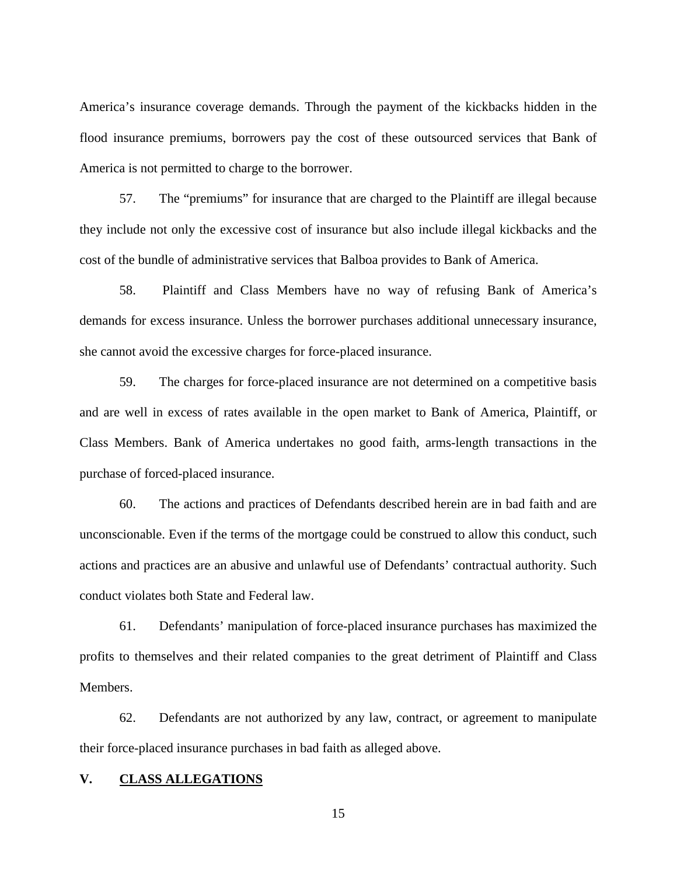America's insurance coverage demands. Through the payment of the kickbacks hidden in the flood insurance premiums, borrowers pay the cost of these outsourced services that Bank of America is not permitted to charge to the borrower.

57. The "premiums" for insurance that are charged to the Plaintiff are illegal because they include not only the excessive cost of insurance but also include illegal kickbacks and the cost of the bundle of administrative services that Balboa provides to Bank of America.

58. Plaintiff and Class Members have no way of refusing Bank of America's demands for excess insurance. Unless the borrower purchases additional unnecessary insurance, she cannot avoid the excessive charges for force-placed insurance.

59. The charges for force-placed insurance are not determined on a competitive basis and are well in excess of rates available in the open market to Bank of America, Plaintiff, or Class Members. Bank of America undertakes no good faith, arms-length transactions in the purchase of forced-placed insurance.

60. The actions and practices of Defendants described herein are in bad faith and are unconscionable. Even if the terms of the mortgage could be construed to allow this conduct, such actions and practices are an abusive and unlawful use of Defendants' contractual authority. Such conduct violates both State and Federal law.

61. Defendants' manipulation of force-placed insurance purchases has maximized the profits to themselves and their related companies to the great detriment of Plaintiff and Class Members.

62. Defendants are not authorized by any law, contract, or agreement to manipulate their force-placed insurance purchases in bad faith as alleged above.

# **V. CLASS ALLEGATIONS**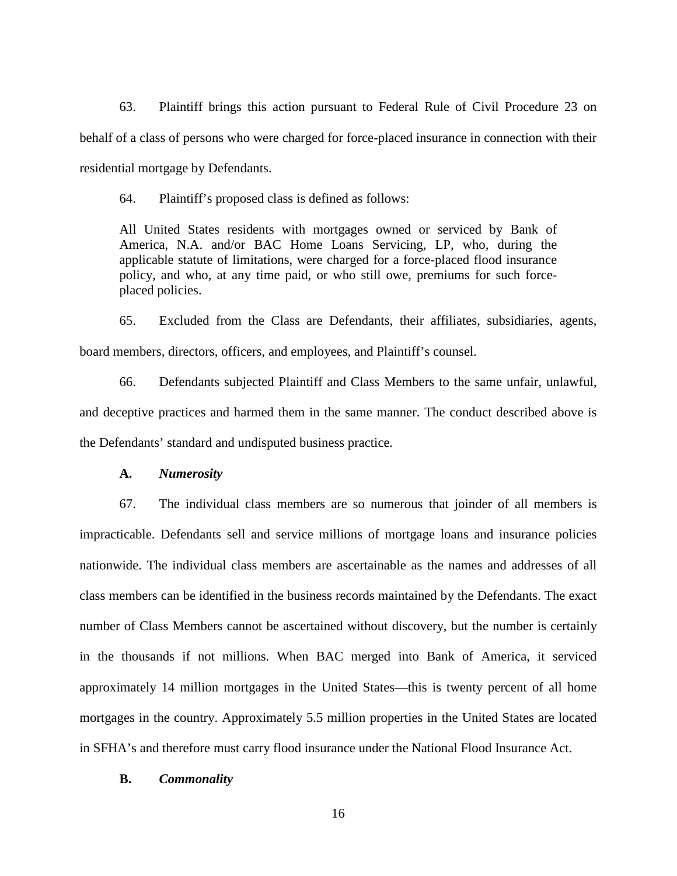63. Plaintiff brings this action pursuant to Federal Rule of Civil Procedure 23 on behalf of a class of persons who were charged for force-placed insurance in connection with their residential mortgage by Defendants.

64. Plaintiff's proposed class is defined as follows:

All United States residents with mortgages owned or serviced by Bank of America, N.A. and/or BAC Home Loans Servicing, LP, who, during the applicable statute of limitations, were charged for a force-placed flood insurance policy, and who, at any time paid, or who still owe, premiums for such forceplaced policies.

65. Excluded from the Class are Defendants, their affiliates, subsidiaries, agents, board members, directors, officers, and employees, and Plaintiff's counsel.

66. Defendants subjected Plaintiff and Class Members to the same unfair, unlawful, and deceptive practices and harmed them in the same manner. The conduct described above is the Defendants' standard and undisputed business practice.

### **A.** *Numerosity*

67. The individual class members are so numerous that joinder of all members is impracticable. Defendants sell and service millions of mortgage loans and insurance policies nationwide. The individual class members are ascertainable as the names and addresses of all class members can be identified in the business records maintained by the Defendants. The exact number of Class Members cannot be ascertained without discovery, but the number is certainly in the thousands if not millions. When BAC merged into Bank of America, it serviced approximately 14 million mortgages in the United States—this is twenty percent of all home mortgages in the country. Approximately 5.5 million properties in the United States are located in SFHA's and therefore must carry flood insurance under the National Flood Insurance Act.

## **B.** *Commonality*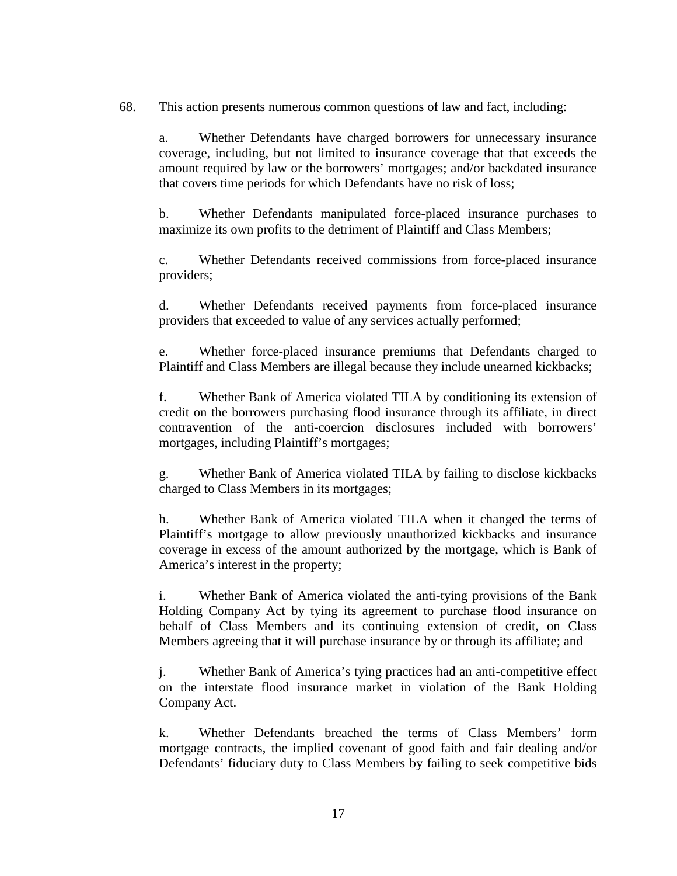68. This action presents numerous common questions of law and fact, including:

a. Whether Defendants have charged borrowers for unnecessary insurance coverage, including, but not limited to insurance coverage that that exceeds the amount required by law or the borrowers' mortgages; and/or backdated insurance that covers time periods for which Defendants have no risk of loss;

b. Whether Defendants manipulated force-placed insurance purchases to maximize its own profits to the detriment of Plaintiff and Class Members;

c. Whether Defendants received commissions from force-placed insurance providers;

d. Whether Defendants received payments from force-placed insurance providers that exceeded to value of any services actually performed;

e. Whether force-placed insurance premiums that Defendants charged to Plaintiff and Class Members are illegal because they include unearned kickbacks;

f. Whether Bank of America violated TILA by conditioning its extension of credit on the borrowers purchasing flood insurance through its affiliate, in direct contravention of the anti-coercion disclosures included with borrowers' mortgages, including Plaintiff's mortgages;

g. Whether Bank of America violated TILA by failing to disclose kickbacks charged to Class Members in its mortgages;

h. Whether Bank of America violated TILA when it changed the terms of Plaintiff's mortgage to allow previously unauthorized kickbacks and insurance coverage in excess of the amount authorized by the mortgage, which is Bank of America's interest in the property;

i. Whether Bank of America violated the anti-tying provisions of the Bank Holding Company Act by tying its agreement to purchase flood insurance on behalf of Class Members and its continuing extension of credit, on Class Members agreeing that it will purchase insurance by or through its affiliate; and

j. Whether Bank of America's tying practices had an anti-competitive effect on the interstate flood insurance market in violation of the Bank Holding Company Act.

k. Whether Defendants breached the terms of Class Members' form mortgage contracts, the implied covenant of good faith and fair dealing and/or Defendants' fiduciary duty to Class Members by failing to seek competitive bids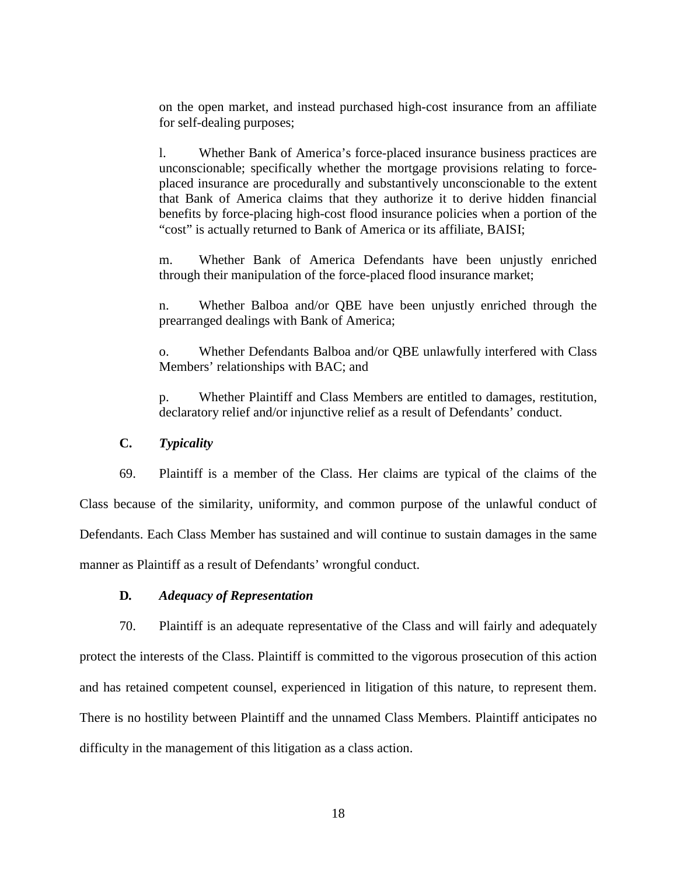on the open market, and instead purchased high-cost insurance from an affiliate for self-dealing purposes;

l. Whether Bank of America's force-placed insurance business practices are unconscionable; specifically whether the mortgage provisions relating to forceplaced insurance are procedurally and substantively unconscionable to the extent that Bank of America claims that they authorize it to derive hidden financial benefits by force-placing high-cost flood insurance policies when a portion of the "cost" is actually returned to Bank of America or its affiliate, BAISI;

m. Whether Bank of America Defendants have been unjustly enriched through their manipulation of the force-placed flood insurance market;

n. Whether Balboa and/or QBE have been unjustly enriched through the prearranged dealings with Bank of America;

o. Whether Defendants Balboa and/or QBE unlawfully interfered with Class Members' relationships with BAC; and

p. Whether Plaintiff and Class Members are entitled to damages, restitution, declaratory relief and/or injunctive relief as a result of Defendants' conduct.

**C.** *Typicality*

69. Plaintiff is a member of the Class. Her claims are typical of the claims of the Class because of the similarity, uniformity, and common purpose of the unlawful conduct of Defendants. Each Class Member has sustained and will continue to sustain damages in the same manner as Plaintiff as a result of Defendants' wrongful conduct.

# **D***. Adequacy of Representation*

70. Plaintiff is an adequate representative of the Class and will fairly and adequately protect the interests of the Class. Plaintiff is committed to the vigorous prosecution of this action and has retained competent counsel, experienced in litigation of this nature, to represent them. There is no hostility between Plaintiff and the unnamed Class Members. Plaintiff anticipates no difficulty in the management of this litigation as a class action.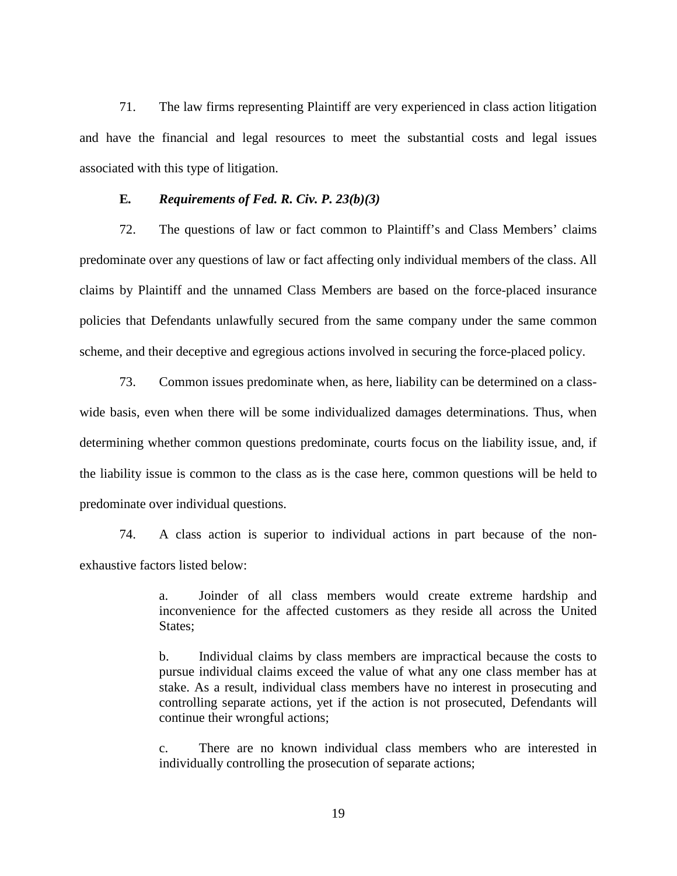71. The law firms representing Plaintiff are very experienced in class action litigation and have the financial and legal resources to meet the substantial costs and legal issues associated with this type of litigation.

## **E***. Requirements of Fed. R. Civ. P. 23(b)(3)*

72. The questions of law or fact common to Plaintiff's and Class Members' claims predominate over any questions of law or fact affecting only individual members of the class. All claims by Plaintiff and the unnamed Class Members are based on the force-placed insurance policies that Defendants unlawfully secured from the same company under the same common scheme, and their deceptive and egregious actions involved in securing the force-placed policy.

73. Common issues predominate when, as here, liability can be determined on a classwide basis, even when there will be some individualized damages determinations. Thus, when determining whether common questions predominate, courts focus on the liability issue, and, if the liability issue is common to the class as is the case here, common questions will be held to predominate over individual questions.

74. A class action is superior to individual actions in part because of the nonexhaustive factors listed below:

> a. Joinder of all class members would create extreme hardship and inconvenience for the affected customers as they reside all across the United States;

> b. Individual claims by class members are impractical because the costs to pursue individual claims exceed the value of what any one class member has at stake. As a result, individual class members have no interest in prosecuting and controlling separate actions, yet if the action is not prosecuted, Defendants will continue their wrongful actions;

> c. There are no known individual class members who are interested in individually controlling the prosecution of separate actions;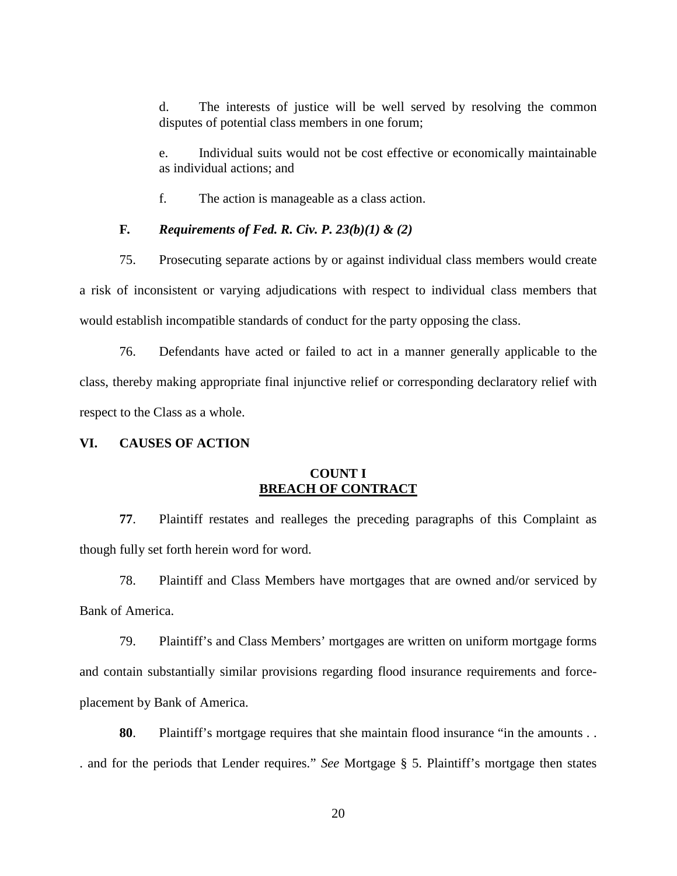d. The interests of justice will be well served by resolving the common disputes of potential class members in one forum;

e. Individual suits would not be cost effective or economically maintainable as individual actions; and

f. The action is manageable as a class action.

## **F***. Requirements of Fed. R. Civ. P. 23(b)(1) & (2)*

75. Prosecuting separate actions by or against individual class members would create a risk of inconsistent or varying adjudications with respect to individual class members that would establish incompatible standards of conduct for the party opposing the class.

76. Defendants have acted or failed to act in a manner generally applicable to the class, thereby making appropriate final injunctive relief or corresponding declaratory relief with respect to the Class as a whole.

### **VI. CAUSES OF ACTION**

# **COUNT I BREACH OF CONTRACT**

**77**. Plaintiff restates and realleges the preceding paragraphs of this Complaint as though fully set forth herein word for word.

78. Plaintiff and Class Members have mortgages that are owned and/or serviced by Bank of America.

79. Plaintiff's and Class Members' mortgages are written on uniform mortgage forms and contain substantially similar provisions regarding flood insurance requirements and forceplacement by Bank of America.

**80**. Plaintiff's mortgage requires that she maintain flood insurance "in the amounts . . . and for the periods that Lender requires." *See* Mortgage § 5. Plaintiff's mortgage then states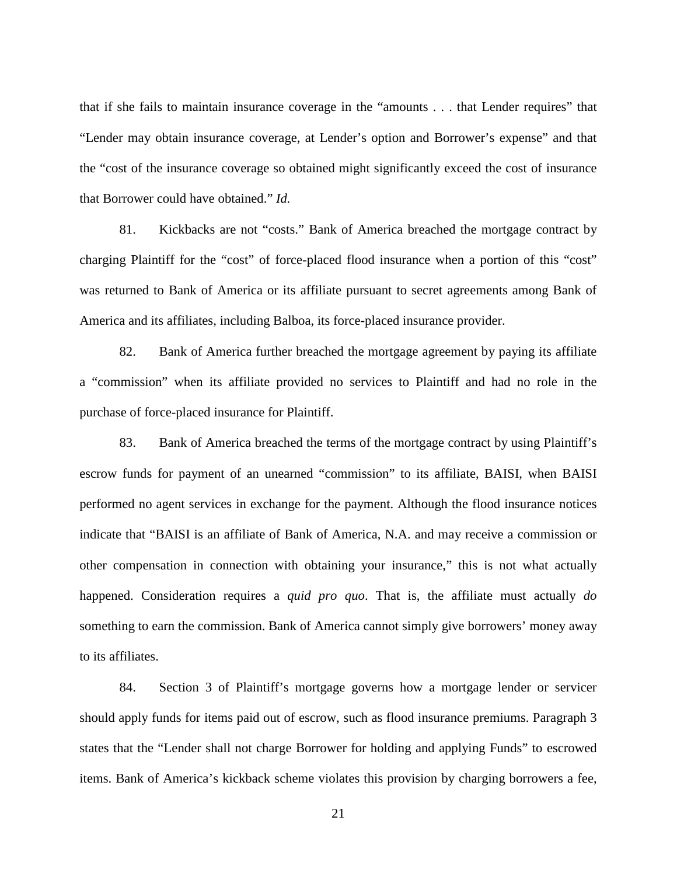that if she fails to maintain insurance coverage in the "amounts . . . that Lender requires" that "Lender may obtain insurance coverage, at Lender's option and Borrower's expense" and that the "cost of the insurance coverage so obtained might significantly exceed the cost of insurance that Borrower could have obtained." *Id.*

81. Kickbacks are not "costs." Bank of America breached the mortgage contract by charging Plaintiff for the "cost" of force-placed flood insurance when a portion of this "cost" was returned to Bank of America or its affiliate pursuant to secret agreements among Bank of America and its affiliates, including Balboa, its force-placed insurance provider.

82. Bank of America further breached the mortgage agreement by paying its affiliate a "commission" when its affiliate provided no services to Plaintiff and had no role in the purchase of force-placed insurance for Plaintiff.

83. Bank of America breached the terms of the mortgage contract by using Plaintiff's escrow funds for payment of an unearned "commission" to its affiliate, BAISI, when BAISI performed no agent services in exchange for the payment. Although the flood insurance notices indicate that "BAISI is an affiliate of Bank of America, N.A. and may receive a commission or other compensation in connection with obtaining your insurance," this is not what actually happened. Consideration requires a *quid pro quo*. That is, the affiliate must actually *do* something to earn the commission. Bank of America cannot simply give borrowers' money away to its affiliates.

84. Section 3 of Plaintiff's mortgage governs how a mortgage lender or servicer should apply funds for items paid out of escrow, such as flood insurance premiums. Paragraph 3 states that the "Lender shall not charge Borrower for holding and applying Funds" to escrowed items. Bank of America's kickback scheme violates this provision by charging borrowers a fee,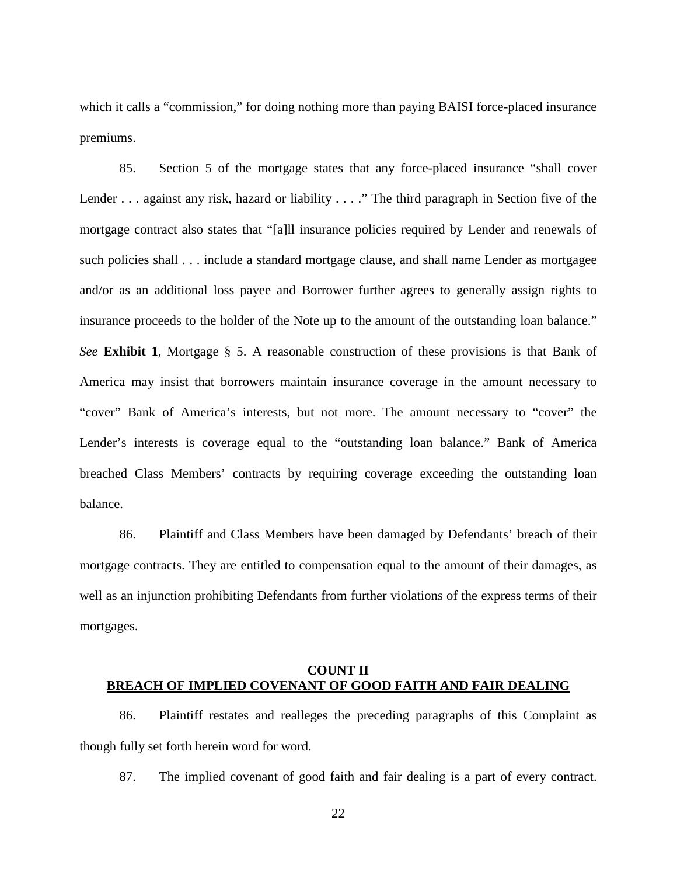which it calls a "commission," for doing nothing more than paying BAISI force-placed insurance premiums.

85. Section 5 of the mortgage states that any force-placed insurance "shall cover Lender . . . against any risk, hazard or liability . . . ." The third paragraph in Section five of the mortgage contract also states that "[a]ll insurance policies required by Lender and renewals of such policies shall . . . include a standard mortgage clause, and shall name Lender as mortgagee and/or as an additional loss payee and Borrower further agrees to generally assign rights to insurance proceeds to the holder of the Note up to the amount of the outstanding loan balance." *See* **Exhibit 1**, Mortgage § 5. A reasonable construction of these provisions is that Bank of America may insist that borrowers maintain insurance coverage in the amount necessary to "cover" Bank of America's interests, but not more. The amount necessary to "cover" the Lender's interests is coverage equal to the "outstanding loan balance." Bank of America breached Class Members' contracts by requiring coverage exceeding the outstanding loan balance.

86. Plaintiff and Class Members have been damaged by Defendants' breach of their mortgage contracts. They are entitled to compensation equal to the amount of their damages, as well as an injunction prohibiting Defendants from further violations of the express terms of their mortgages.

# **COUNT II BREACH OF IMPLIED COVENANT OF GOOD FAITH AND FAIR DEALING**

86. Plaintiff restates and realleges the preceding paragraphs of this Complaint as though fully set forth herein word for word.

87. The implied covenant of good faith and fair dealing is a part of every contract.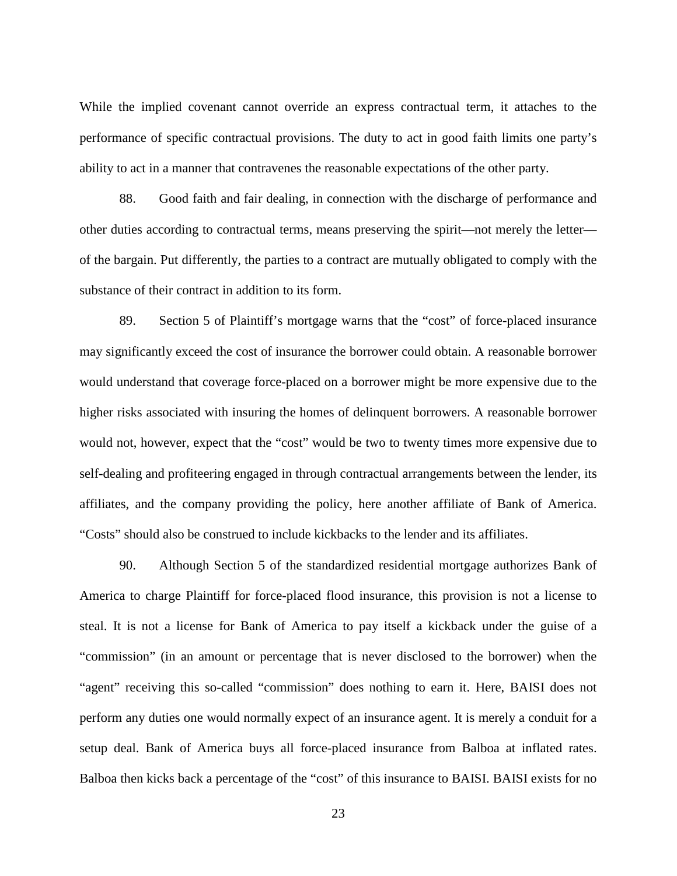While the implied covenant cannot override an express contractual term, it attaches to the performance of specific contractual provisions. The duty to act in good faith limits one party's ability to act in a manner that contravenes the reasonable expectations of the other party.

88. Good faith and fair dealing, in connection with the discharge of performance and other duties according to contractual terms, means preserving the spirit—not merely the letter of the bargain. Put differently, the parties to a contract are mutually obligated to comply with the substance of their contract in addition to its form.

89. Section 5 of Plaintiff's mortgage warns that the "cost" of force-placed insurance may significantly exceed the cost of insurance the borrower could obtain. A reasonable borrower would understand that coverage force-placed on a borrower might be more expensive due to the higher risks associated with insuring the homes of delinquent borrowers. A reasonable borrower would not, however, expect that the "cost" would be two to twenty times more expensive due to self-dealing and profiteering engaged in through contractual arrangements between the lender, its affiliates, and the company providing the policy, here another affiliate of Bank of America. "Costs" should also be construed to include kickbacks to the lender and its affiliates.

90. Although Section 5 of the standardized residential mortgage authorizes Bank of America to charge Plaintiff for force-placed flood insurance, this provision is not a license to steal. It is not a license for Bank of America to pay itself a kickback under the guise of a "commission" (in an amount or percentage that is never disclosed to the borrower) when the "agent" receiving this so-called "commission" does nothing to earn it. Here, BAISI does not perform any duties one would normally expect of an insurance agent. It is merely a conduit for a setup deal. Bank of America buys all force-placed insurance from Balboa at inflated rates. Balboa then kicks back a percentage of the "cost" of this insurance to BAISI. BAISI exists for no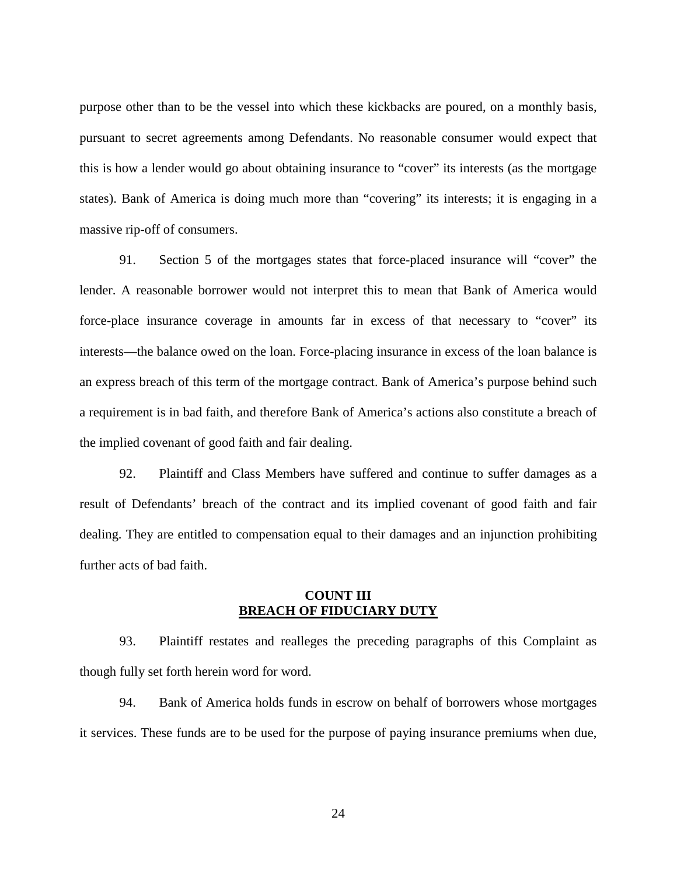purpose other than to be the vessel into which these kickbacks are poured, on a monthly basis, pursuant to secret agreements among Defendants. No reasonable consumer would expect that this is how a lender would go about obtaining insurance to "cover" its interests (as the mortgage states). Bank of America is doing much more than "covering" its interests; it is engaging in a massive rip-off of consumers.

91. Section 5 of the mortgages states that force-placed insurance will "cover" the lender. A reasonable borrower would not interpret this to mean that Bank of America would force-place insurance coverage in amounts far in excess of that necessary to "cover" its interests—the balance owed on the loan. Force-placing insurance in excess of the loan balance is an express breach of this term of the mortgage contract. Bank of America's purpose behind such a requirement is in bad faith, and therefore Bank of America's actions also constitute a breach of the implied covenant of good faith and fair dealing.

92. Plaintiff and Class Members have suffered and continue to suffer damages as a result of Defendants' breach of the contract and its implied covenant of good faith and fair dealing. They are entitled to compensation equal to their damages and an injunction prohibiting further acts of bad faith.

## **COUNT III BREACH OF FIDUCIARY DUTY**

93. Plaintiff restates and realleges the preceding paragraphs of this Complaint as though fully set forth herein word for word.

94. Bank of America holds funds in escrow on behalf of borrowers whose mortgages it services. These funds are to be used for the purpose of paying insurance premiums when due,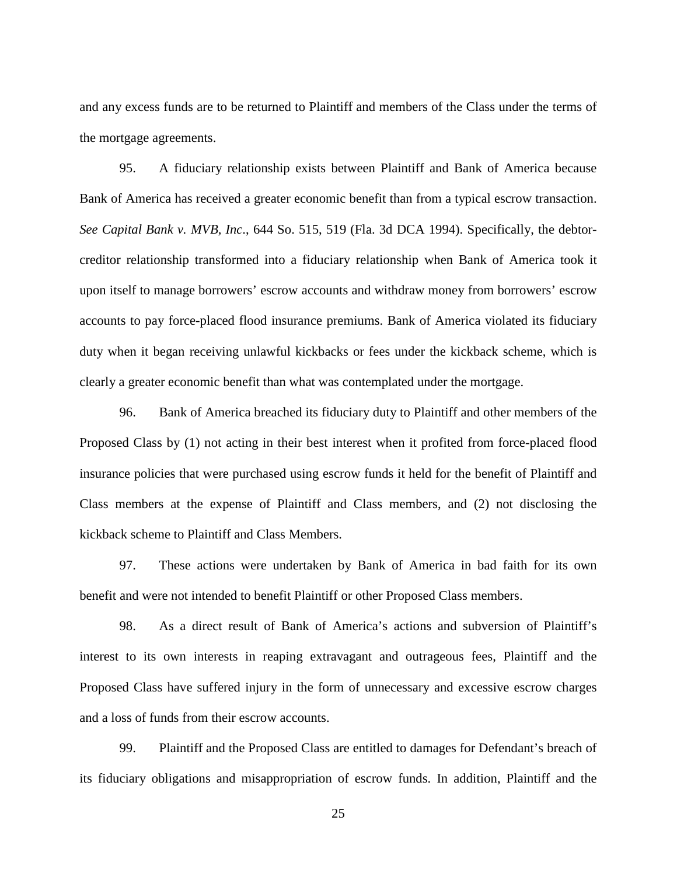and any excess funds are to be returned to Plaintiff and members of the Class under the terms of the mortgage agreements.

95. A fiduciary relationship exists between Plaintiff and Bank of America because Bank of America has received a greater economic benefit than from a typical escrow transaction. *See Capital Bank v. MVB, Inc*., 644 So. 515, 519 (Fla. 3d DCA 1994). Specifically, the debtorcreditor relationship transformed into a fiduciary relationship when Bank of America took it upon itself to manage borrowers' escrow accounts and withdraw money from borrowers' escrow accounts to pay force-placed flood insurance premiums. Bank of America violated its fiduciary duty when it began receiving unlawful kickbacks or fees under the kickback scheme, which is clearly a greater economic benefit than what was contemplated under the mortgage.

96. Bank of America breached its fiduciary duty to Plaintiff and other members of the Proposed Class by (1) not acting in their best interest when it profited from force-placed flood insurance policies that were purchased using escrow funds it held for the benefit of Plaintiff and Class members at the expense of Plaintiff and Class members, and (2) not disclosing the kickback scheme to Plaintiff and Class Members.

97. These actions were undertaken by Bank of America in bad faith for its own benefit and were not intended to benefit Plaintiff or other Proposed Class members.

98. As a direct result of Bank of America's actions and subversion of Plaintiff's interest to its own interests in reaping extravagant and outrageous fees, Plaintiff and the Proposed Class have suffered injury in the form of unnecessary and excessive escrow charges and a loss of funds from their escrow accounts.

99. Plaintiff and the Proposed Class are entitled to damages for Defendant's breach of its fiduciary obligations and misappropriation of escrow funds. In addition, Plaintiff and the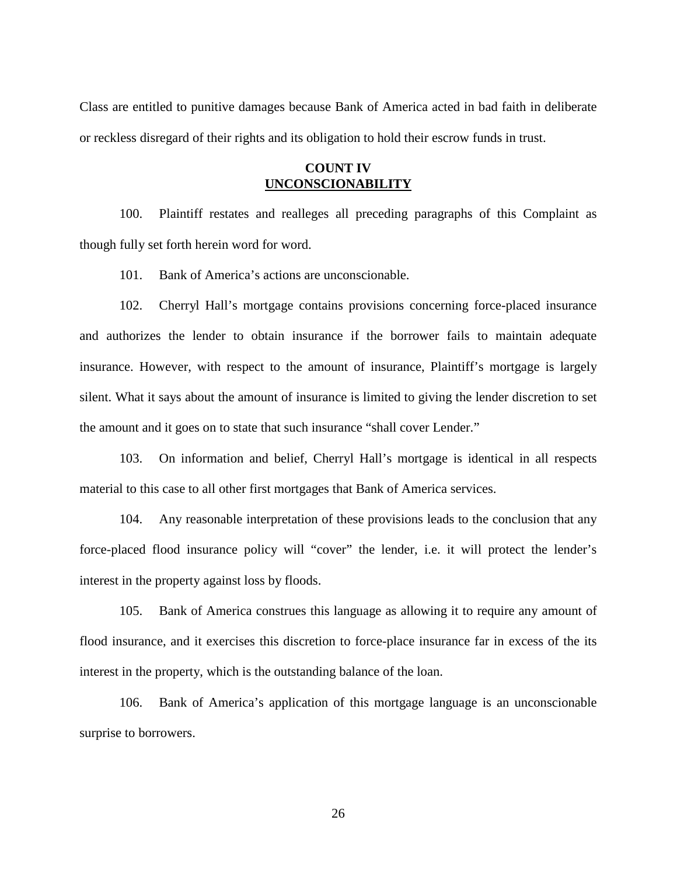Class are entitled to punitive damages because Bank of America acted in bad faith in deliberate or reckless disregard of their rights and its obligation to hold their escrow funds in trust.

# **COUNT IV UNCONSCIONABILITY**

100. Plaintiff restates and realleges all preceding paragraphs of this Complaint as though fully set forth herein word for word.

101. Bank of America's actions are unconscionable.

102. Cherryl Hall's mortgage contains provisions concerning force-placed insurance and authorizes the lender to obtain insurance if the borrower fails to maintain adequate insurance. However, with respect to the amount of insurance, Plaintiff's mortgage is largely silent. What it says about the amount of insurance is limited to giving the lender discretion to set the amount and it goes on to state that such insurance "shall cover Lender."

103. On information and belief, Cherryl Hall's mortgage is identical in all respects material to this case to all other first mortgages that Bank of America services.

104. Any reasonable interpretation of these provisions leads to the conclusion that any force-placed flood insurance policy will "cover" the lender, i.e. it will protect the lender's interest in the property against loss by floods.

105. Bank of America construes this language as allowing it to require any amount of flood insurance, and it exercises this discretion to force-place insurance far in excess of the its interest in the property, which is the outstanding balance of the loan.

106. Bank of America's application of this mortgage language is an unconscionable surprise to borrowers.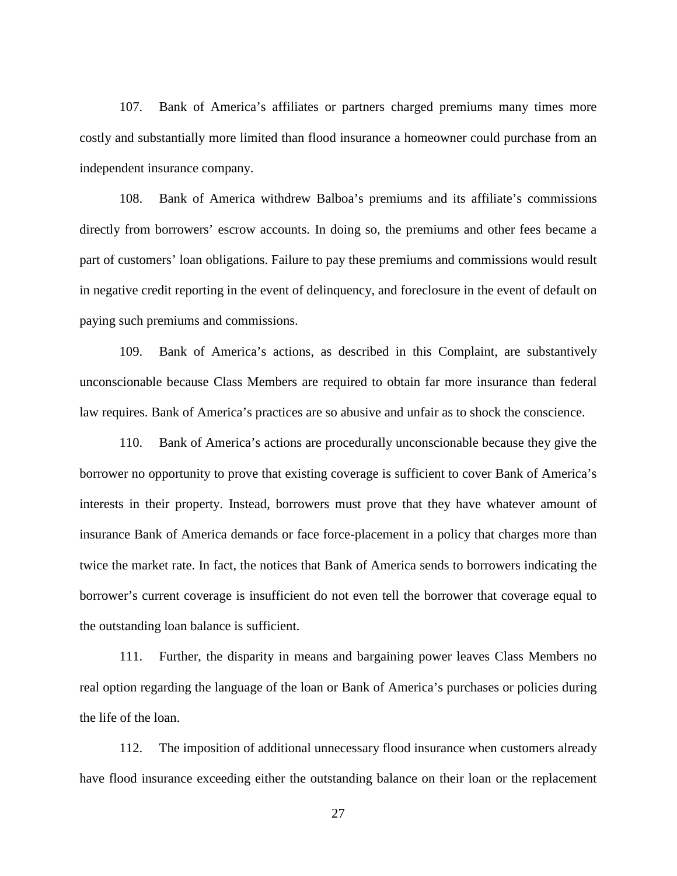107. Bank of America's affiliates or partners charged premiums many times more costly and substantially more limited than flood insurance a homeowner could purchase from an independent insurance company.

108. Bank of America withdrew Balboa's premiums and its affiliate's commissions directly from borrowers' escrow accounts. In doing so, the premiums and other fees became a part of customers' loan obligations. Failure to pay these premiums and commissions would result in negative credit reporting in the event of delinquency, and foreclosure in the event of default on paying such premiums and commissions.

109. Bank of America's actions, as described in this Complaint, are substantively unconscionable because Class Members are required to obtain far more insurance than federal law requires. Bank of America's practices are so abusive and unfair as to shock the conscience.

110. Bank of America's actions are procedurally unconscionable because they give the borrower no opportunity to prove that existing coverage is sufficient to cover Bank of America's interests in their property. Instead, borrowers must prove that they have whatever amount of insurance Bank of America demands or face force-placement in a policy that charges more than twice the market rate. In fact, the notices that Bank of America sends to borrowers indicating the borrower's current coverage is insufficient do not even tell the borrower that coverage equal to the outstanding loan balance is sufficient.

111. Further, the disparity in means and bargaining power leaves Class Members no real option regarding the language of the loan or Bank of America's purchases or policies during the life of the loan.

112. The imposition of additional unnecessary flood insurance when customers already have flood insurance exceeding either the outstanding balance on their loan or the replacement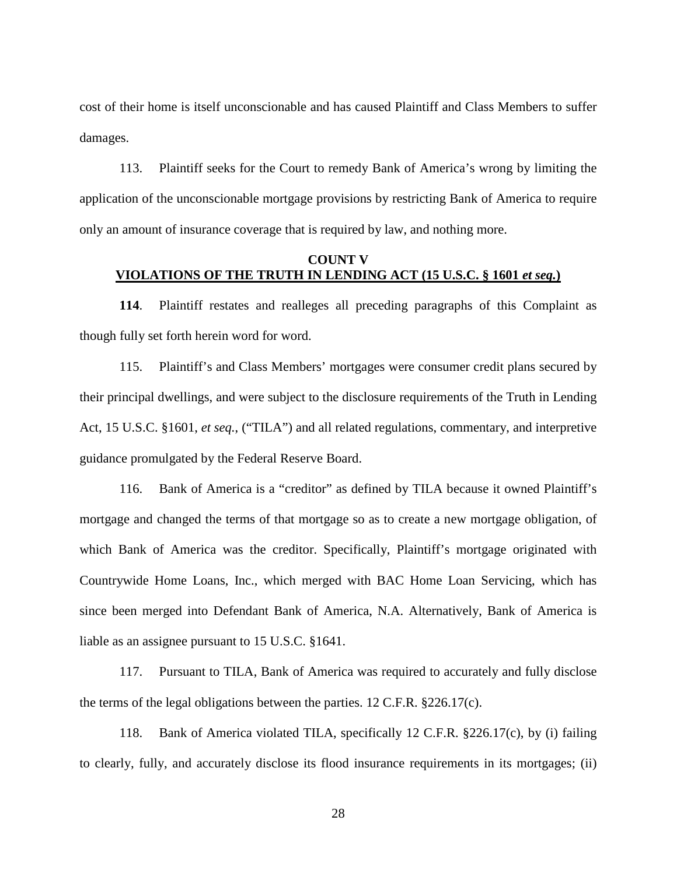cost of their home is itself unconscionable and has caused Plaintiff and Class Members to suffer damages.

113. Plaintiff seeks for the Court to remedy Bank of America's wrong by limiting the application of the unconscionable mortgage provisions by restricting Bank of America to require only an amount of insurance coverage that is required by law, and nothing more.

## **COUNT V VIOLATIONS OF THE TRUTH IN LENDING ACT (15 U.S.C. § 1601** *et seq.***)**

**114**. Plaintiff restates and realleges all preceding paragraphs of this Complaint as though fully set forth herein word for word.

115. Plaintiff's and Class Members' mortgages were consumer credit plans secured by their principal dwellings, and were subject to the disclosure requirements of the Truth in Lending Act, 15 U.S.C. §1601, *et seq.*, ("TILA") and all related regulations, commentary, and interpretive guidance promulgated by the Federal Reserve Board.

116. Bank of America is a "creditor" as defined by TILA because it owned Plaintiff's mortgage and changed the terms of that mortgage so as to create a new mortgage obligation, of which Bank of America was the creditor. Specifically, Plaintiff's mortgage originated with Countrywide Home Loans, Inc., which merged with BAC Home Loan Servicing, which has since been merged into Defendant Bank of America, N.A. Alternatively, Bank of America is liable as an assignee pursuant to 15 U.S.C. §1641.

117. Pursuant to TILA, Bank of America was required to accurately and fully disclose the terms of the legal obligations between the parties. 12 C.F.R. §226.17(c).

118. Bank of America violated TILA, specifically 12 C.F.R. §226.17(c), by (i) failing to clearly, fully, and accurately disclose its flood insurance requirements in its mortgages; (ii)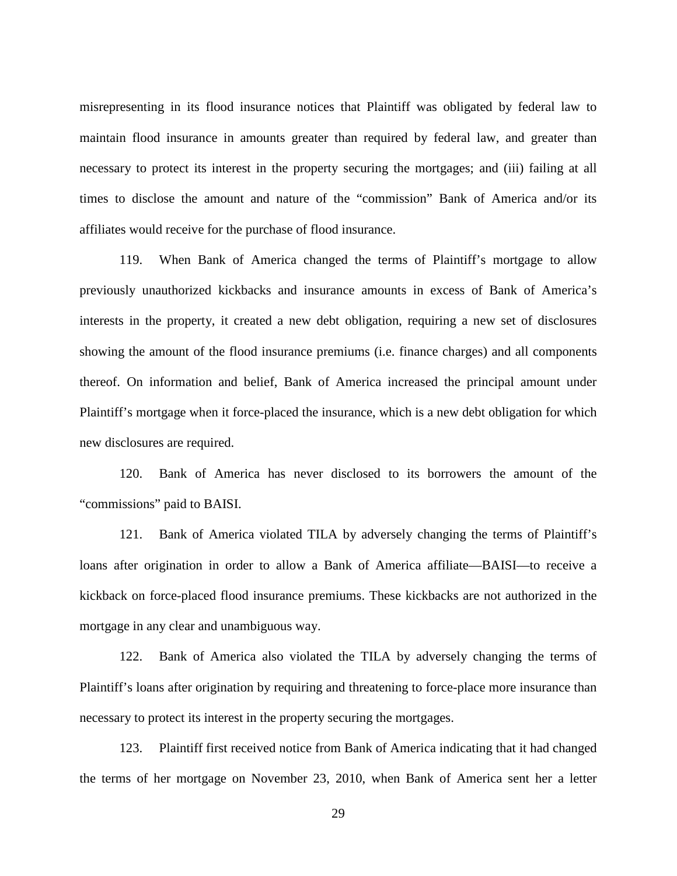misrepresenting in its flood insurance notices that Plaintiff was obligated by federal law to maintain flood insurance in amounts greater than required by federal law, and greater than necessary to protect its interest in the property securing the mortgages; and (iii) failing at all times to disclose the amount and nature of the "commission" Bank of America and/or its affiliates would receive for the purchase of flood insurance.

119. When Bank of America changed the terms of Plaintiff's mortgage to allow previously unauthorized kickbacks and insurance amounts in excess of Bank of America's interests in the property, it created a new debt obligation, requiring a new set of disclosures showing the amount of the flood insurance premiums (i.e. finance charges) and all components thereof. On information and belief, Bank of America increased the principal amount under Plaintiff's mortgage when it force-placed the insurance, which is a new debt obligation for which new disclosures are required.

120. Bank of America has never disclosed to its borrowers the amount of the "commissions" paid to BAISI.

121. Bank of America violated TILA by adversely changing the terms of Plaintiff's loans after origination in order to allow a Bank of America affiliate—BAISI—to receive a kickback on force-placed flood insurance premiums. These kickbacks are not authorized in the mortgage in any clear and unambiguous way.

122. Bank of America also violated the TILA by adversely changing the terms of Plaintiff's loans after origination by requiring and threatening to force-place more insurance than necessary to protect its interest in the property securing the mortgages.

123. Plaintiff first received notice from Bank of America indicating that it had changed the terms of her mortgage on November 23, 2010, when Bank of America sent her a letter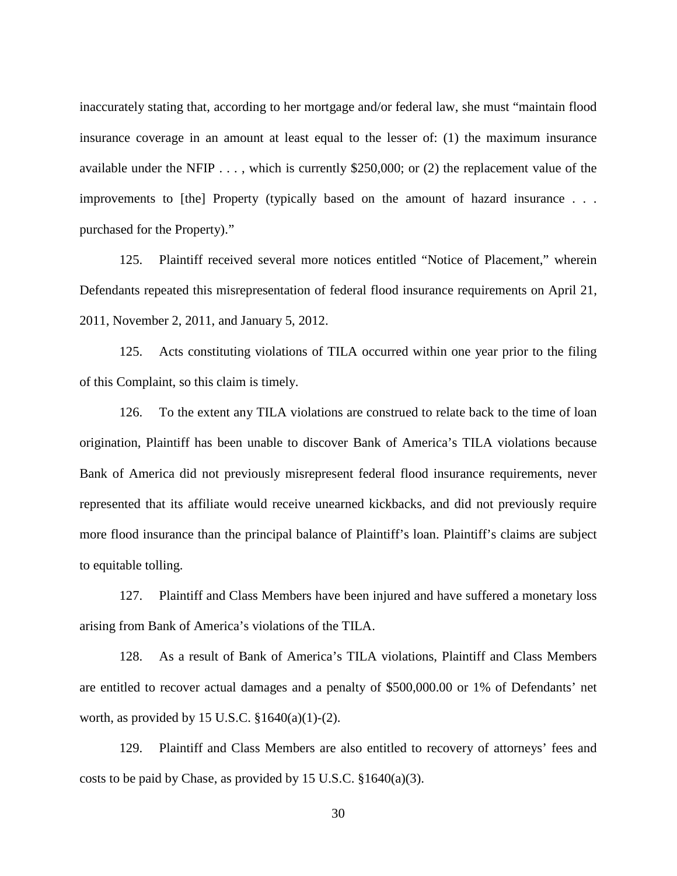inaccurately stating that, according to her mortgage and/or federal law, she must "maintain flood insurance coverage in an amount at least equal to the lesser of: (1) the maximum insurance available under the NFIP . . . , which is currently \$250,000; or (2) the replacement value of the improvements to [the] Property (typically based on the amount of hazard insurance . . . purchased for the Property)."

125. Plaintiff received several more notices entitled "Notice of Placement," wherein Defendants repeated this misrepresentation of federal flood insurance requirements on April 21, 2011, November 2, 2011, and January 5, 2012.

125. Acts constituting violations of TILA occurred within one year prior to the filing of this Complaint, so this claim is timely.

126. To the extent any TILA violations are construed to relate back to the time of loan origination, Plaintiff has been unable to discover Bank of America's TILA violations because Bank of America did not previously misrepresent federal flood insurance requirements, never represented that its affiliate would receive unearned kickbacks, and did not previously require more flood insurance than the principal balance of Plaintiff's loan. Plaintiff's claims are subject to equitable tolling.

127. Plaintiff and Class Members have been injured and have suffered a monetary loss arising from Bank of America's violations of the TILA.

128. As a result of Bank of America's TILA violations, Plaintiff and Class Members are entitled to recover actual damages and a penalty of \$500,000.00 or 1% of Defendants' net worth, as provided by 15 U.S.C.  $$1640(a)(1)-(2)$ .

129. Plaintiff and Class Members are also entitled to recovery of attorneys' fees and costs to be paid by Chase, as provided by 15 U.S.C. §1640(a)(3).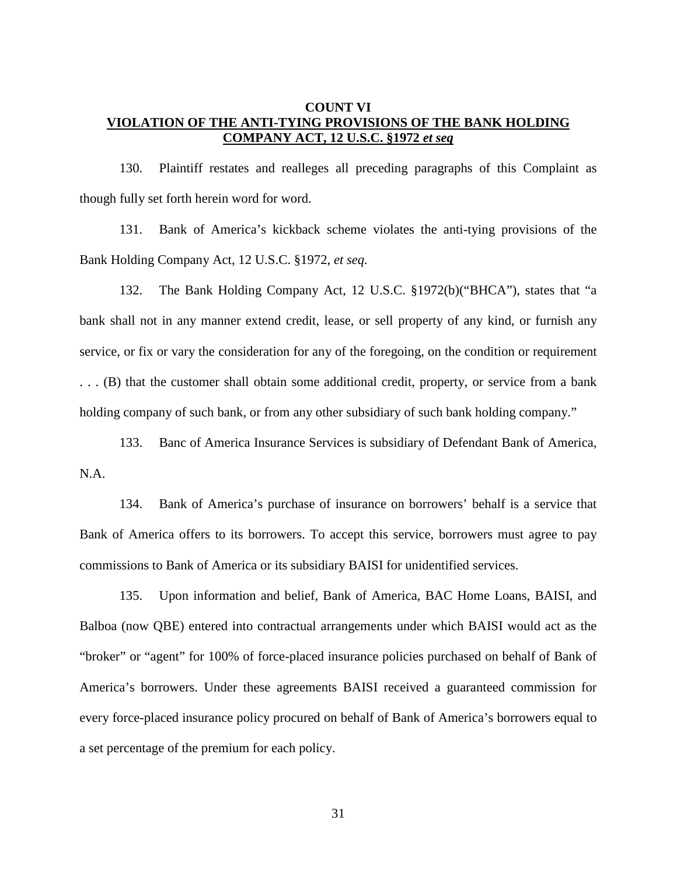# **COUNT VI VIOLATION OF THE ANTI-TYING PROVISIONS OF THE BANK HOLDING COMPANY ACT, 12 U.S.C. §1972** *et seq*

130. Plaintiff restates and realleges all preceding paragraphs of this Complaint as though fully set forth herein word for word.

131. Bank of America's kickback scheme violates the anti-tying provisions of the Bank Holding Company Act, 12 U.S.C. §1972, *et seq.*

132. The Bank Holding Company Act, 12 U.S.C. §1972(b)("BHCA"), states that "a bank shall not in any manner extend credit, lease, or sell property of any kind, or furnish any service, or fix or vary the consideration for any of the foregoing, on the condition or requirement . . . (B) that the customer shall obtain some additional credit, property, or service from a bank holding company of such bank, or from any other subsidiary of such bank holding company."

133. Banc of America Insurance Services is subsidiary of Defendant Bank of America, N.A.

134. Bank of America's purchase of insurance on borrowers' behalf is a service that Bank of America offers to its borrowers. To accept this service, borrowers must agree to pay commissions to Bank of America or its subsidiary BAISI for unidentified services.

135. Upon information and belief, Bank of America, BAC Home Loans, BAISI, and Balboa (now QBE) entered into contractual arrangements under which BAISI would act as the "broker" or "agent" for 100% of force-placed insurance policies purchased on behalf of Bank of America's borrowers. Under these agreements BAISI received a guaranteed commission for every force-placed insurance policy procured on behalf of Bank of America's borrowers equal to a set percentage of the premium for each policy.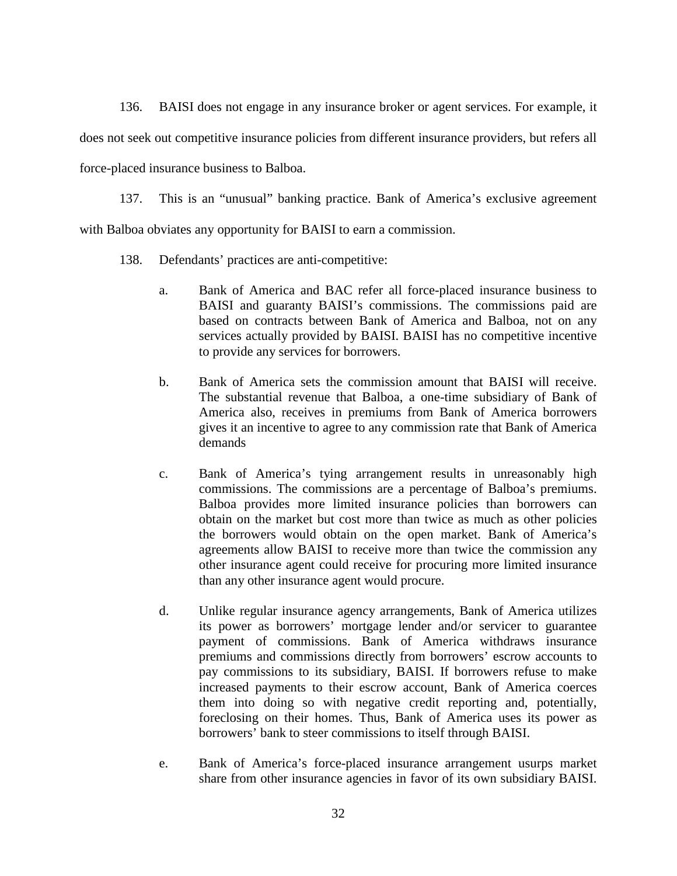136. BAISI does not engage in any insurance broker or agent services. For example, it

does not seek out competitive insurance policies from different insurance providers, but refers all

force-placed insurance business to Balboa.

137. This is an "unusual" banking practice. Bank of America's exclusive agreement with Balboa obviates any opportunity for BAISI to earn a commission.

- 138. Defendants' practices are anti-competitive:
	- a. Bank of America and BAC refer all force-placed insurance business to BAISI and guaranty BAISI's commissions. The commissions paid are based on contracts between Bank of America and Balboa, not on any services actually provided by BAISI. BAISI has no competitive incentive to provide any services for borrowers.
	- b. Bank of America sets the commission amount that BAISI will receive. The substantial revenue that Balboa, a one-time subsidiary of Bank of America also, receives in premiums from Bank of America borrowers gives it an incentive to agree to any commission rate that Bank of America demands
	- c. Bank of America's tying arrangement results in unreasonably high commissions. The commissions are a percentage of Balboa's premiums. Balboa provides more limited insurance policies than borrowers can obtain on the market but cost more than twice as much as other policies the borrowers would obtain on the open market. Bank of America's agreements allow BAISI to receive more than twice the commission any other insurance agent could receive for procuring more limited insurance than any other insurance agent would procure.
	- d. Unlike regular insurance agency arrangements, Bank of America utilizes its power as borrowers' mortgage lender and/or servicer to guarantee payment of commissions. Bank of America withdraws insurance premiums and commissions directly from borrowers' escrow accounts to pay commissions to its subsidiary, BAISI. If borrowers refuse to make increased payments to their escrow account, Bank of America coerces them into doing so with negative credit reporting and, potentially, foreclosing on their homes. Thus, Bank of America uses its power as borrowers' bank to steer commissions to itself through BAISI.
	- e. Bank of America's force-placed insurance arrangement usurps market share from other insurance agencies in favor of its own subsidiary BAISI.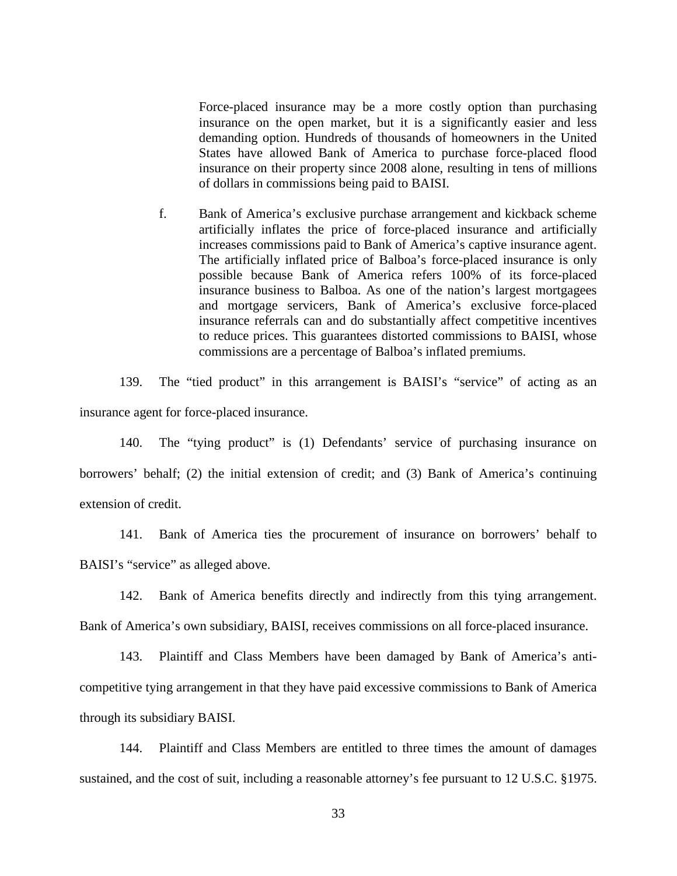Force-placed insurance may be a more costly option than purchasing insurance on the open market, but it is a significantly easier and less demanding option. Hundreds of thousands of homeowners in the United States have allowed Bank of America to purchase force-placed flood insurance on their property since 2008 alone, resulting in tens of millions of dollars in commissions being paid to BAISI.

f. Bank of America's exclusive purchase arrangement and kickback scheme artificially inflates the price of force-placed insurance and artificially increases commissions paid to Bank of America's captive insurance agent. The artificially inflated price of Balboa's force-placed insurance is only possible because Bank of America refers 100% of its force-placed insurance business to Balboa. As one of the nation's largest mortgagees and mortgage servicers, Bank of America's exclusive force-placed insurance referrals can and do substantially affect competitive incentives to reduce prices. This guarantees distorted commissions to BAISI, whose commissions are a percentage of Balboa's inflated premiums.

139. The "tied product" in this arrangement is BAISI's "service" of acting as an insurance agent for force-placed insurance.

140. The "tying product" is (1) Defendants' service of purchasing insurance on borrowers' behalf; (2) the initial extension of credit; and (3) Bank of America's continuing extension of credit.

141. Bank of America ties the procurement of insurance on borrowers' behalf to BAISI's "service" as alleged above.

142. Bank of America benefits directly and indirectly from this tying arrangement. Bank of America's own subsidiary, BAISI, receives commissions on all force-placed insurance.

143. Plaintiff and Class Members have been damaged by Bank of America's anticompetitive tying arrangement in that they have paid excessive commissions to Bank of America through its subsidiary BAISI.

144. Plaintiff and Class Members are entitled to three times the amount of damages sustained, and the cost of suit, including a reasonable attorney's fee pursuant to 12 U.S.C. §1975.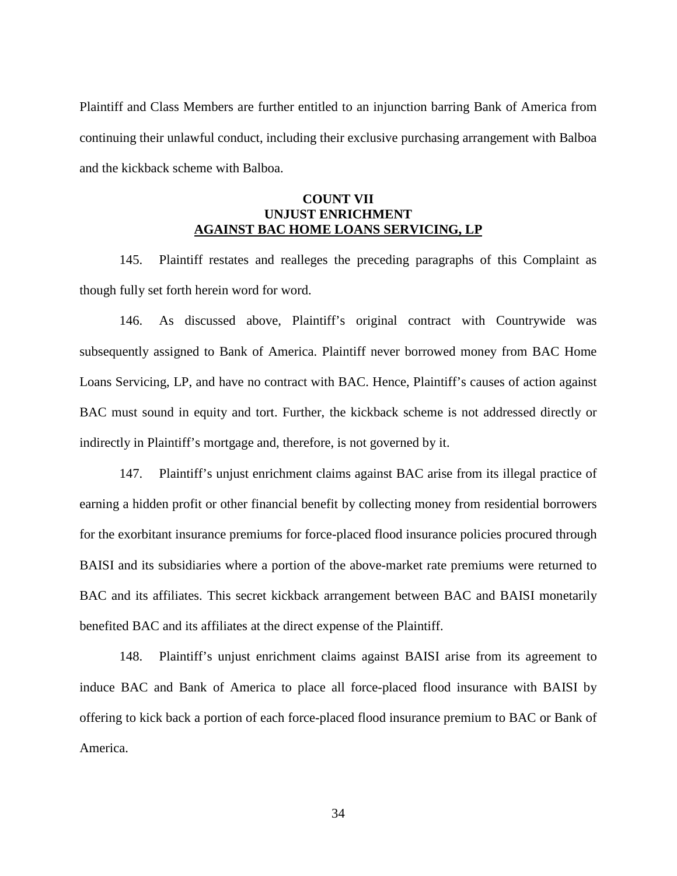Plaintiff and Class Members are further entitled to an injunction barring Bank of America from continuing their unlawful conduct, including their exclusive purchasing arrangement with Balboa and the kickback scheme with Balboa.

## **COUNT VII UNJUST ENRICHMENT AGAINST BAC HOME LOANS SERVICING, LP**

145. Plaintiff restates and realleges the preceding paragraphs of this Complaint as though fully set forth herein word for word.

146. As discussed above, Plaintiff's original contract with Countrywide was subsequently assigned to Bank of America. Plaintiff never borrowed money from BAC Home Loans Servicing, LP, and have no contract with BAC. Hence, Plaintiff's causes of action against BAC must sound in equity and tort. Further, the kickback scheme is not addressed directly or indirectly in Plaintiff's mortgage and, therefore, is not governed by it.

147. Plaintiff's unjust enrichment claims against BAC arise from its illegal practice of earning a hidden profit or other financial benefit by collecting money from residential borrowers for the exorbitant insurance premiums for force-placed flood insurance policies procured through BAISI and its subsidiaries where a portion of the above-market rate premiums were returned to BAC and its affiliates. This secret kickback arrangement between BAC and BAISI monetarily benefited BAC and its affiliates at the direct expense of the Plaintiff.

148. Plaintiff's unjust enrichment claims against BAISI arise from its agreement to induce BAC and Bank of America to place all force-placed flood insurance with BAISI by offering to kick back a portion of each force-placed flood insurance premium to BAC or Bank of America.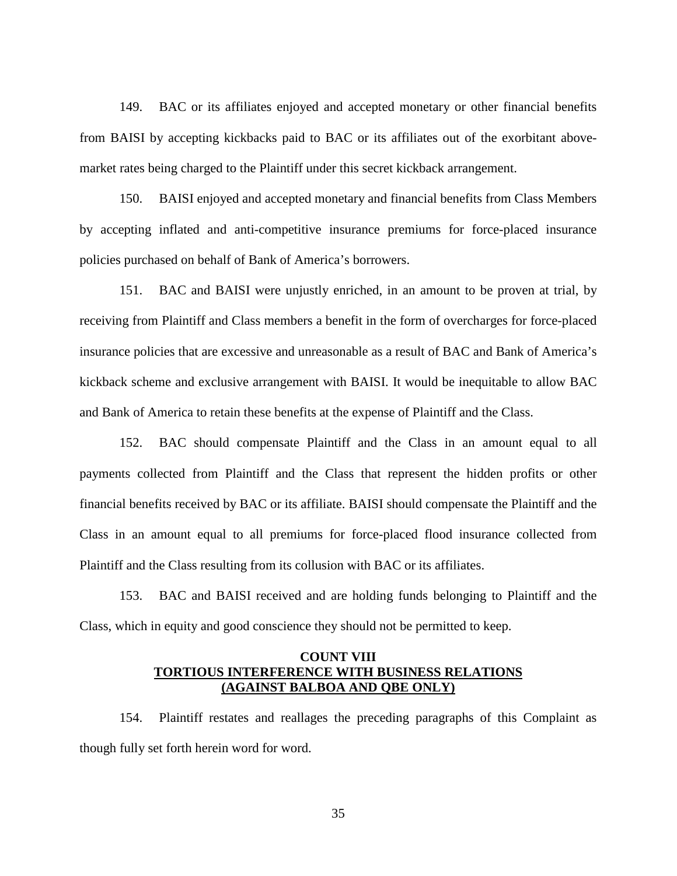149. BAC or its affiliates enjoyed and accepted monetary or other financial benefits from BAISI by accepting kickbacks paid to BAC or its affiliates out of the exorbitant abovemarket rates being charged to the Plaintiff under this secret kickback arrangement.

150. BAISI enjoyed and accepted monetary and financial benefits from Class Members by accepting inflated and anti-competitive insurance premiums for force-placed insurance policies purchased on behalf of Bank of America's borrowers.

151. BAC and BAISI were unjustly enriched, in an amount to be proven at trial, by receiving from Plaintiff and Class members a benefit in the form of overcharges for force-placed insurance policies that are excessive and unreasonable as a result of BAC and Bank of America's kickback scheme and exclusive arrangement with BAISI. It would be inequitable to allow BAC and Bank of America to retain these benefits at the expense of Plaintiff and the Class.

152. BAC should compensate Plaintiff and the Class in an amount equal to all payments collected from Plaintiff and the Class that represent the hidden profits or other financial benefits received by BAC or its affiliate. BAISI should compensate the Plaintiff and the Class in an amount equal to all premiums for force-placed flood insurance collected from Plaintiff and the Class resulting from its collusion with BAC or its affiliates.

153. BAC and BAISI received and are holding funds belonging to Plaintiff and the Class, which in equity and good conscience they should not be permitted to keep.

## **COUNT VIII TORTIOUS INTERFERENCE WITH BUSINESS RELATIONS (AGAINST BALBOA AND QBE ONLY)**

154. Plaintiff restates and reallages the preceding paragraphs of this Complaint as though fully set forth herein word for word.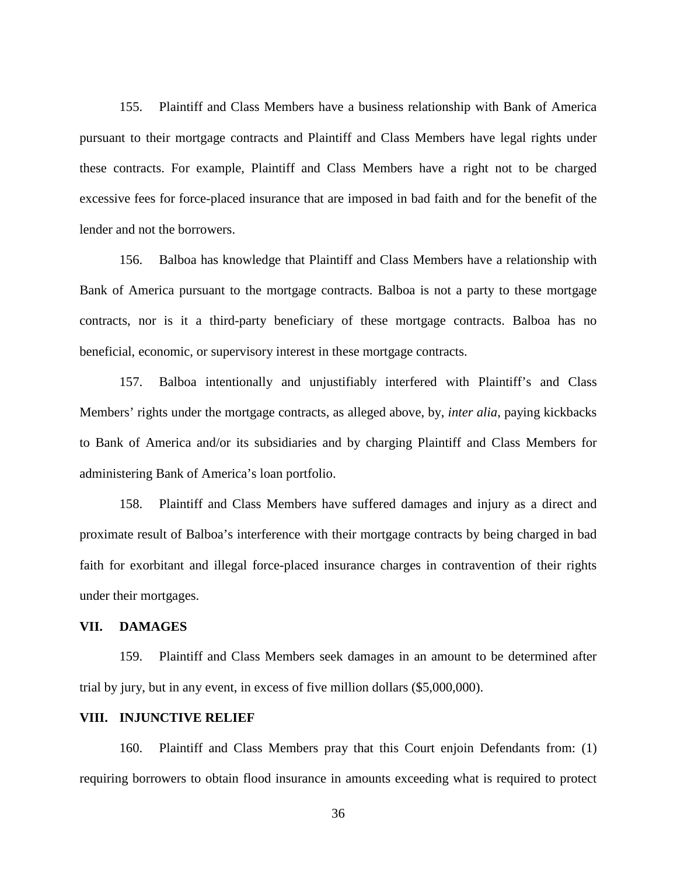155. Plaintiff and Class Members have a business relationship with Bank of America pursuant to their mortgage contracts and Plaintiff and Class Members have legal rights under these contracts. For example, Plaintiff and Class Members have a right not to be charged excessive fees for force-placed insurance that are imposed in bad faith and for the benefit of the lender and not the borrowers.

156. Balboa has knowledge that Plaintiff and Class Members have a relationship with Bank of America pursuant to the mortgage contracts. Balboa is not a party to these mortgage contracts, nor is it a third-party beneficiary of these mortgage contracts. Balboa has no beneficial, economic, or supervisory interest in these mortgage contracts.

157. Balboa intentionally and unjustifiably interfered with Plaintiff's and Class Members' rights under the mortgage contracts, as alleged above, by, *inter alia*, paying kickbacks to Bank of America and/or its subsidiaries and by charging Plaintiff and Class Members for administering Bank of America's loan portfolio.

158. Plaintiff and Class Members have suffered damages and injury as a direct and proximate result of Balboa's interference with their mortgage contracts by being charged in bad faith for exorbitant and illegal force-placed insurance charges in contravention of their rights under their mortgages.

## **VII. DAMAGES**

159. Plaintiff and Class Members seek damages in an amount to be determined after trial by jury, but in any event, in excess of five million dollars (\$5,000,000).

# **VIII. INJUNCTIVE RELIEF**

160. Plaintiff and Class Members pray that this Court enjoin Defendants from: (1) requiring borrowers to obtain flood insurance in amounts exceeding what is required to protect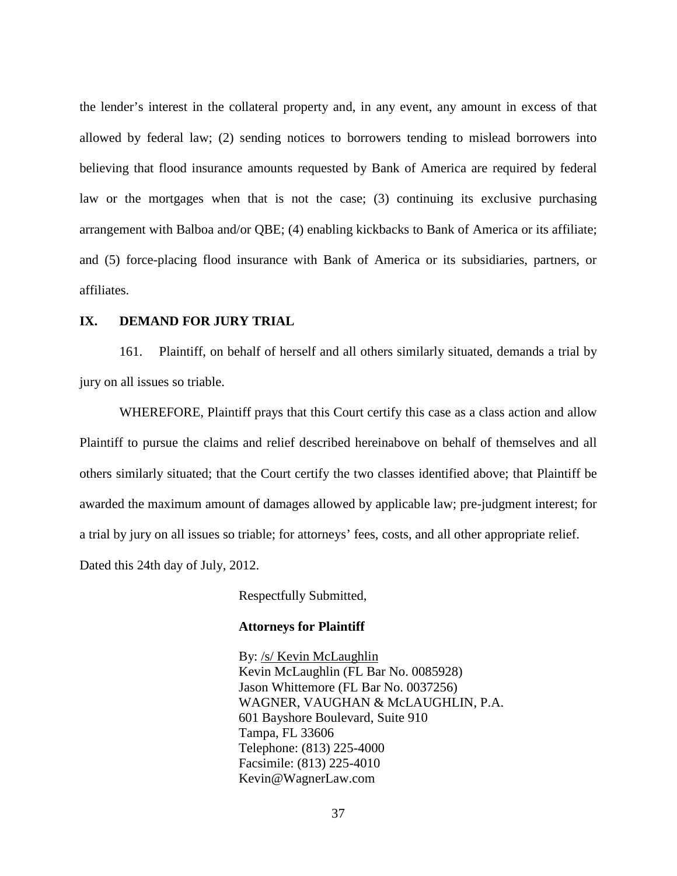the lender's interest in the collateral property and, in any event, any amount in excess of that allowed by federal law; (2) sending notices to borrowers tending to mislead borrowers into believing that flood insurance amounts requested by Bank of America are required by federal law or the mortgages when that is not the case; (3) continuing its exclusive purchasing arrangement with Balboa and/or QBE; (4) enabling kickbacks to Bank of America or its affiliate; and (5) force-placing flood insurance with Bank of America or its subsidiaries, partners, or affiliates.

### **IX. DEMAND FOR JURY TRIAL**

161. Plaintiff, on behalf of herself and all others similarly situated, demands a trial by jury on all issues so triable.

WHEREFORE, Plaintiff prays that this Court certify this case as a class action and allow Plaintiff to pursue the claims and relief described hereinabove on behalf of themselves and all others similarly situated; that the Court certify the two classes identified above; that Plaintiff be awarded the maximum amount of damages allowed by applicable law; pre-judgment interest; for a trial by jury on all issues so triable; for attorneys' fees, costs, and all other appropriate relief. Dated this 24th day of July, 2012.

Respectfully Submitted,

## **Attorneys for Plaintiff**

By: /s/ Kevin McLaughlin Kevin McLaughlin (FL Bar No. 0085928) Jason Whittemore (FL Bar No. 0037256) WAGNER, VAUGHAN & McLAUGHLIN, P.A. 601 Bayshore Boulevard, Suite 910 Tampa, FL 33606 Telephone: (813) 225-4000 Facsimile: (813) 225-4010 Kevin@WagnerLaw.com